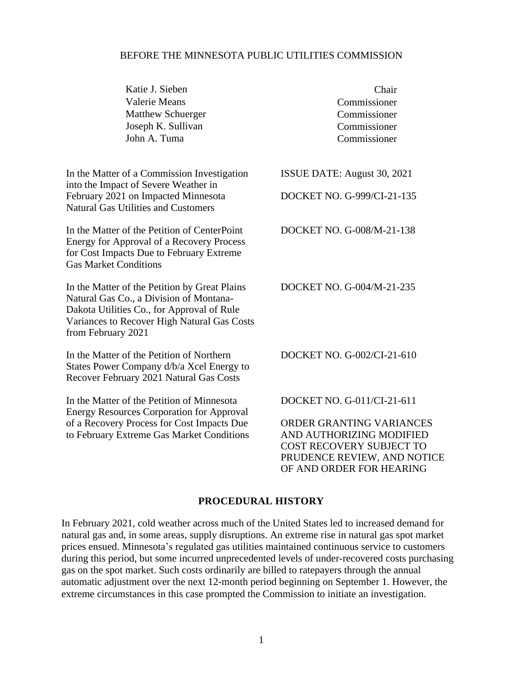### BEFORE THE MINNESOTA PUBLIC UTILITIES COMMISSION

| Katie J. Sieben<br><b>Valerie Means</b><br><b>Matthew Schuerger</b><br>Joseph K. Sullivan<br>John A. Tuma                                                                                                   | Chair<br>Commissioner<br>Commissioner<br>Commissioner<br>Commissioner                                                                       |
|-------------------------------------------------------------------------------------------------------------------------------------------------------------------------------------------------------------|---------------------------------------------------------------------------------------------------------------------------------------------|
| In the Matter of a Commission Investigation<br>into the Impact of Severe Weather in                                                                                                                         | ISSUE DATE: August 30, 2021                                                                                                                 |
| February 2021 on Impacted Minnesota<br><b>Natural Gas Utilities and Customers</b>                                                                                                                           | DOCKET NO. G-999/CI-21-135                                                                                                                  |
| In the Matter of the Petition of CenterPoint<br><b>Energy for Approval of a Recovery Process</b><br>for Cost Impacts Due to February Extreme<br><b>Gas Market Conditions</b>                                | DOCKET NO. G-008/M-21-138                                                                                                                   |
| In the Matter of the Petition by Great Plains<br>Natural Gas Co., a Division of Montana-<br>Dakota Utilities Co., for Approval of Rule<br>Variances to Recover High Natural Gas Costs<br>from February 2021 | DOCKET NO. G-004/M-21-235                                                                                                                   |
| In the Matter of the Petition of Northern<br>States Power Company d/b/a Xcel Energy to<br>Recover February 2021 Natural Gas Costs                                                                           | DOCKET NO. G-002/CI-21-610                                                                                                                  |
| In the Matter of the Petition of Minnesota<br><b>Energy Resources Corporation for Approval</b>                                                                                                              | DOCKET NO. G-011/CI-21-611                                                                                                                  |
| of a Recovery Process for Cost Impacts Due<br>to February Extreme Gas Market Conditions                                                                                                                     | ORDER GRANTING VARIANCES<br>AND AUTHORIZING MODIFIED<br>COST RECOVERY SUBJECT TO<br>PRUDENCE REVIEW, AND NOTICE<br>OF AND ORDER FOR HEARING |
|                                                                                                                                                                                                             |                                                                                                                                             |

### **PROCEDURAL HISTORY**

In February 2021, cold weather across much of the United States led to increased demand for natural gas and, in some areas, supply disruptions. An extreme rise in natural gas spot market prices ensued. Minnesota's regulated gas utilities maintained continuous service to customers during this period, but some incurred unprecedented levels of under-recovered costs purchasing gas on the spot market. Such costs ordinarily are billed to ratepayers through the annual automatic adjustment over the next 12-month period beginning on September 1. However, the extreme circumstances in this case prompted the Commission to initiate an investigation.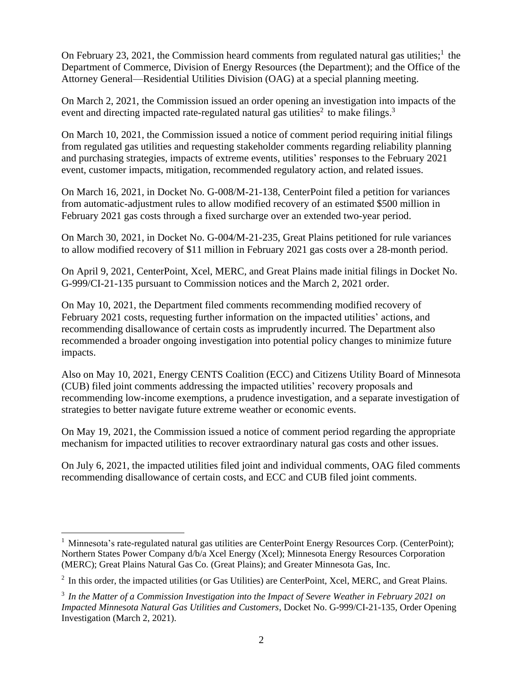On February 23, 2021, the Commission heard comments from regulated natural gas utilities;<sup>1</sup> the Department of Commerce, Division of Energy Resources (the Department); and the Office of the Attorney General—Residential Utilities Division (OAG) at a special planning meeting.

On March 2, 2021, the Commission issued an order opening an investigation into impacts of the event and directing impacted rate-regulated natural gas utilities<sup>2</sup> to make filings.<sup>3</sup>

On March 10, 2021, the Commission issued a notice of comment period requiring initial filings from regulated gas utilities and requesting stakeholder comments regarding reliability planning and purchasing strategies, impacts of extreme events, utilities' responses to the February 2021 event, customer impacts, mitigation, recommended regulatory action, and related issues.

On March 16, 2021, in Docket No. G-008/M-21-138, CenterPoint filed a petition for variances from automatic-adjustment rules to allow modified recovery of an estimated \$500 million in February 2021 gas costs through a fixed surcharge over an extended two-year period.

On March 30, 2021, in Docket No. G-004/M-21-235, Great Plains petitioned for rule variances to allow modified recovery of \$11 million in February 2021 gas costs over a 28-month period.

On April 9, 2021, CenterPoint, Xcel, MERC, and Great Plains made initial filings in Docket No. G-999/CI-21-135 pursuant to Commission notices and the March 2, 2021 order.

On May 10, 2021, the Department filed comments recommending modified recovery of February 2021 costs, requesting further information on the impacted utilities' actions, and recommending disallowance of certain costs as imprudently incurred. The Department also recommended a broader ongoing investigation into potential policy changes to minimize future impacts.

Also on May 10, 2021, Energy CENTS Coalition (ECC) and Citizens Utility Board of Minnesota (CUB) filed joint comments addressing the impacted utilities' recovery proposals and recommending low-income exemptions, a prudence investigation, and a separate investigation of strategies to better navigate future extreme weather or economic events.

On May 19, 2021, the Commission issued a notice of comment period regarding the appropriate mechanism for impacted utilities to recover extraordinary natural gas costs and other issues.

On July 6, 2021, the impacted utilities filed joint and individual comments, OAG filed comments recommending disallowance of certain costs, and ECC and CUB filed joint comments.

<sup>&</sup>lt;sup>1</sup> Minnesota's rate-regulated natural gas utilities are CenterPoint Energy Resources Corp. (CenterPoint); Northern States Power Company d/b/a Xcel Energy (Xcel); Minnesota Energy Resources Corporation (MERC); Great Plains Natural Gas Co. (Great Plains); and Greater Minnesota Gas, Inc.

 $2$  In this order, the impacted utilities (or Gas Utilities) are CenterPoint, Xcel, MERC, and Great Plains.

<sup>3</sup> *In the Matter of a Commission Investigation into the Impact of Severe Weather in February 2021 on Impacted Minnesota Natural Gas Utilities and Customers*, Docket No. G-999/CI-21-135, Order Opening Investigation (March 2, 2021).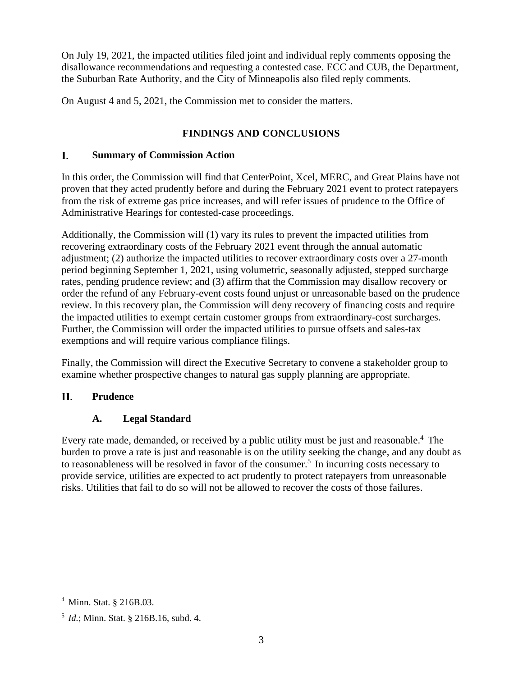On July 19, 2021, the impacted utilities filed joint and individual reply comments opposing the disallowance recommendations and requesting a contested case. ECC and CUB, the Department, the Suburban Rate Authority, and the City of Minneapolis also filed reply comments.

On August 4 and 5, 2021, the Commission met to consider the matters.

## **FINDINGS AND CONCLUSIONS**

#### $\mathbf{I}$ . **Summary of Commission Action**

In this order, the Commission will find that CenterPoint, Xcel, MERC, and Great Plains have not proven that they acted prudently before and during the February 2021 event to protect ratepayers from the risk of extreme gas price increases, and will refer issues of prudence to the Office of Administrative Hearings for contested-case proceedings.

Additionally, the Commission will (1) vary its rules to prevent the impacted utilities from recovering extraordinary costs of the February 2021 event through the annual automatic adjustment; (2) authorize the impacted utilities to recover extraordinary costs over a 27-month period beginning September 1, 2021, using volumetric, seasonally adjusted, stepped surcharge rates, pending prudence review; and (3) affirm that the Commission may disallow recovery or order the refund of any February-event costs found unjust or unreasonable based on the prudence review. In this recovery plan, the Commission will deny recovery of financing costs and require the impacted utilities to exempt certain customer groups from extraordinary-cost surcharges. Further, the Commission will order the impacted utilities to pursue offsets and sales-tax exemptions and will require various compliance filings.

Finally, the Commission will direct the Executive Secretary to convene a stakeholder group to examine whether prospective changes to natural gas supply planning are appropriate.

#### **II. Prudence**

## **A. Legal Standard**

Every rate made, demanded, or received by a public utility must be just and reasonable.<sup>4</sup> The burden to prove a rate is just and reasonable is on the utility seeking the change, and any doubt as to reasonableness will be resolved in favor of the consumer.<sup>5</sup> In incurring costs necessary to provide service, utilities are expected to act prudently to protect ratepayers from unreasonable risks. Utilities that fail to do so will not be allowed to recover the costs of those failures.

<sup>4</sup> Minn. Stat. § 216B.03.

<sup>5</sup> *Id.*; Minn. Stat. § 216B.16, subd. 4.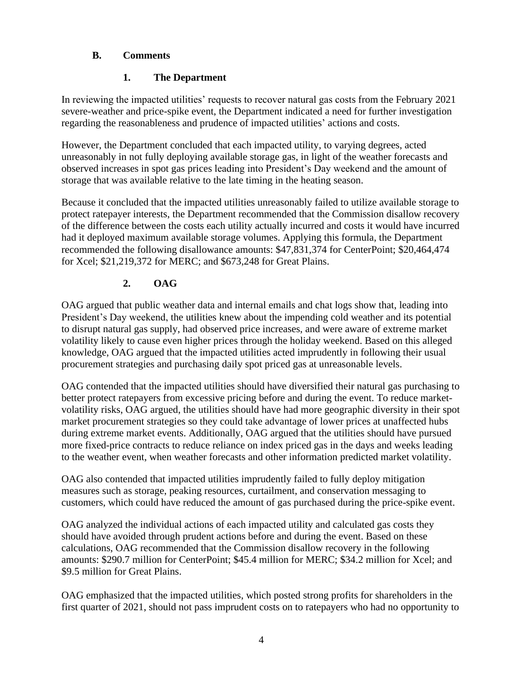## **B. Comments**

## **1. The Department**

In reviewing the impacted utilities' requests to recover natural gas costs from the February 2021 severe-weather and price-spike event, the Department indicated a need for further investigation regarding the reasonableness and prudence of impacted utilities' actions and costs.

However, the Department concluded that each impacted utility, to varying degrees, acted unreasonably in not fully deploying available storage gas, in light of the weather forecasts and observed increases in spot gas prices leading into President's Day weekend and the amount of storage that was available relative to the late timing in the heating season.

Because it concluded that the impacted utilities unreasonably failed to utilize available storage to protect ratepayer interests, the Department recommended that the Commission disallow recovery of the difference between the costs each utility actually incurred and costs it would have incurred had it deployed maximum available storage volumes. Applying this formula, the Department recommended the following disallowance amounts: \$47,831,374 for CenterPoint; \$20,464,474 for Xcel; \$21,219,372 for MERC; and \$673,248 for Great Plains.

## **2. OAG**

OAG argued that public weather data and internal emails and chat logs show that, leading into President's Day weekend, the utilities knew about the impending cold weather and its potential to disrupt natural gas supply, had observed price increases, and were aware of extreme market volatility likely to cause even higher prices through the holiday weekend. Based on this alleged knowledge, OAG argued that the impacted utilities acted imprudently in following their usual procurement strategies and purchasing daily spot priced gas at unreasonable levels.

OAG contended that the impacted utilities should have diversified their natural gas purchasing to better protect ratepayers from excessive pricing before and during the event. To reduce marketvolatility risks, OAG argued, the utilities should have had more geographic diversity in their spot market procurement strategies so they could take advantage of lower prices at unaffected hubs during extreme market events. Additionally, OAG argued that the utilities should have pursued more fixed-price contracts to reduce reliance on index priced gas in the days and weeks leading to the weather event, when weather forecasts and other information predicted market volatility.

OAG also contended that impacted utilities imprudently failed to fully deploy mitigation measures such as storage, peaking resources, curtailment, and conservation messaging to customers, which could have reduced the amount of gas purchased during the price-spike event.

OAG analyzed the individual actions of each impacted utility and calculated gas costs they should have avoided through prudent actions before and during the event. Based on these calculations, OAG recommended that the Commission disallow recovery in the following amounts: \$290.7 million for CenterPoint; \$45.4 million for MERC; \$34.2 million for Xcel; and \$9.5 million for Great Plains.

OAG emphasized that the impacted utilities, which posted strong profits for shareholders in the first quarter of 2021, should not pass imprudent costs on to ratepayers who had no opportunity to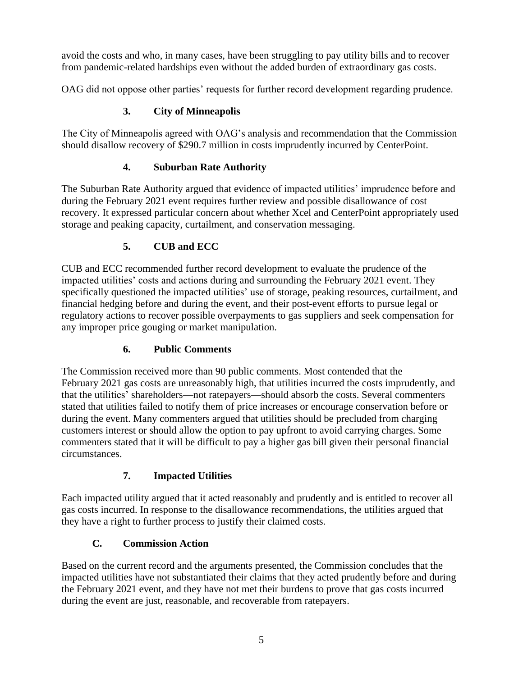avoid the costs and who, in many cases, have been struggling to pay utility bills and to recover from pandemic-related hardships even without the added burden of extraordinary gas costs.

OAG did not oppose other parties' requests for further record development regarding prudence.

# **3. City of Minneapolis**

The City of Minneapolis agreed with OAG's analysis and recommendation that the Commission should disallow recovery of \$290.7 million in costs imprudently incurred by CenterPoint.

# **4. Suburban Rate Authority**

The Suburban Rate Authority argued that evidence of impacted utilities' imprudence before and during the February 2021 event requires further review and possible disallowance of cost recovery. It expressed particular concern about whether Xcel and CenterPoint appropriately used storage and peaking capacity, curtailment, and conservation messaging.

# **5. CUB and ECC**

CUB and ECC recommended further record development to evaluate the prudence of the impacted utilities' costs and actions during and surrounding the February 2021 event. They specifically questioned the impacted utilities' use of storage, peaking resources, curtailment, and financial hedging before and during the event, and their post-event efforts to pursue legal or regulatory actions to recover possible overpayments to gas suppliers and seek compensation for any improper price gouging or market manipulation.

# **6. Public Comments**

The Commission received more than 90 public comments. Most contended that the February 2021 gas costs are unreasonably high, that utilities incurred the costs imprudently, and that the utilities' shareholders—not ratepayers—should absorb the costs. Several commenters stated that utilities failed to notify them of price increases or encourage conservation before or during the event. Many commenters argued that utilities should be precluded from charging customers interest or should allow the option to pay upfront to avoid carrying charges. Some commenters stated that it will be difficult to pay a higher gas bill given their personal financial circumstances.

# **7. Impacted Utilities**

Each impacted utility argued that it acted reasonably and prudently and is entitled to recover all gas costs incurred. In response to the disallowance recommendations, the utilities argued that they have a right to further process to justify their claimed costs.

# **C. Commission Action**

Based on the current record and the arguments presented, the Commission concludes that the impacted utilities have not substantiated their claims that they acted prudently before and during the February 2021 event, and they have not met their burdens to prove that gas costs incurred during the event are just, reasonable, and recoverable from ratepayers.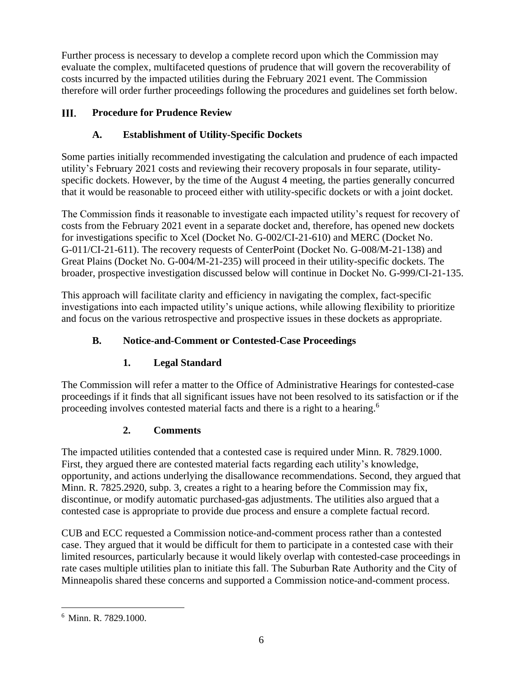Further process is necessary to develop a complete record upon which the Commission may evaluate the complex, multifaceted questions of prudence that will govern the recoverability of costs incurred by the impacted utilities during the February 2021 event. The Commission therefore will order further proceedings following the procedures and guidelines set forth below.

#### III. **Procedure for Prudence Review**

## **A. Establishment of Utility-Specific Dockets**

Some parties initially recommended investigating the calculation and prudence of each impacted utility's February 2021 costs and reviewing their recovery proposals in four separate, utilityspecific dockets. However, by the time of the August 4 meeting, the parties generally concurred that it would be reasonable to proceed either with utility-specific dockets or with a joint docket.

The Commission finds it reasonable to investigate each impacted utility's request for recovery of costs from the February 2021 event in a separate docket and, therefore, has opened new dockets for investigations specific to Xcel (Docket No. G-002/CI-21-610) and MERC (Docket No. G-011/CI-21-611). The recovery requests of CenterPoint (Docket No. G-008/M-21-138) and Great Plains (Docket No. G-004/M-21-235) will proceed in their utility-specific dockets. The broader, prospective investigation discussed below will continue in Docket No. G-999/CI-21-135.

This approach will facilitate clarity and efficiency in navigating the complex, fact-specific investigations into each impacted utility's unique actions, while allowing flexibility to prioritize and focus on the various retrospective and prospective issues in these dockets as appropriate.

## **B. Notice-and-Comment or Contested-Case Proceedings**

## **1. Legal Standard**

The Commission will refer a matter to the Office of Administrative Hearings for contested-case proceedings if it finds that all significant issues have not been resolved to its satisfaction or if the proceeding involves contested material facts and there is a right to a hearing.<sup>6</sup>

## **2. Comments**

The impacted utilities contended that a contested case is required under Minn. R. 7829.1000. First, they argued there are contested material facts regarding each utility's knowledge, opportunity, and actions underlying the disallowance recommendations. Second, they argued that Minn. R. 7825.2920, subp. 3, creates a right to a hearing before the Commission may fix, discontinue, or modify automatic purchased-gas adjustments. The utilities also argued that a contested case is appropriate to provide due process and ensure a complete factual record.

CUB and ECC requested a Commission notice-and-comment process rather than a contested case. They argued that it would be difficult for them to participate in a contested case with their limited resources, particularly because it would likely overlap with contested-case proceedings in rate cases multiple utilities plan to initiate this fall. The Suburban Rate Authority and the City of Minneapolis shared these concerns and supported a Commission notice-and-comment process.

 $6$  Minn. R. 7829.1000.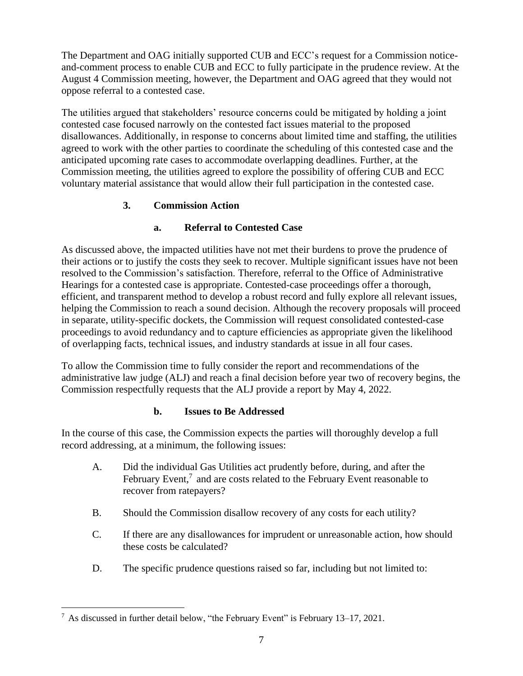The Department and OAG initially supported CUB and ECC's request for a Commission noticeand-comment process to enable CUB and ECC to fully participate in the prudence review. At the August 4 Commission meeting, however, the Department and OAG agreed that they would not oppose referral to a contested case.

The utilities argued that stakeholders' resource concerns could be mitigated by holding a joint contested case focused narrowly on the contested fact issues material to the proposed disallowances. Additionally, in response to concerns about limited time and staffing, the utilities agreed to work with the other parties to coordinate the scheduling of this contested case and the anticipated upcoming rate cases to accommodate overlapping deadlines. Further, at the Commission meeting, the utilities agreed to explore the possibility of offering CUB and ECC voluntary material assistance that would allow their full participation in the contested case.

## **3. Commission Action**

## **a. Referral to Contested Case**

As discussed above, the impacted utilities have not met their burdens to prove the prudence of their actions or to justify the costs they seek to recover. Multiple significant issues have not been resolved to the Commission's satisfaction. Therefore, referral to the Office of Administrative Hearings for a contested case is appropriate. Contested-case proceedings offer a thorough, efficient, and transparent method to develop a robust record and fully explore all relevant issues, helping the Commission to reach a sound decision. Although the recovery proposals will proceed in separate, utility-specific dockets, the Commission will request consolidated contested-case proceedings to avoid redundancy and to capture efficiencies as appropriate given the likelihood of overlapping facts, technical issues, and industry standards at issue in all four cases.

To allow the Commission time to fully consider the report and recommendations of the administrative law judge (ALJ) and reach a final decision before year two of recovery begins, the Commission respectfully requests that the ALJ provide a report by May 4, 2022.

### **b. Issues to Be Addressed**

In the course of this case, the Commission expects the parties will thoroughly develop a full record addressing, at a minimum, the following issues:

- A. Did the individual Gas Utilities act prudently before, during, and after the February Event, $<sup>7</sup>$  and are costs related to the February Event reasonable to</sup> recover from ratepayers?
- B. Should the Commission disallow recovery of any costs for each utility?
- C. If there are any disallowances for imprudent or unreasonable action, how should these costs be calculated?
- D. The specific prudence questions raised so far, including but not limited to:

 $^7$  As discussed in further detail below, "the February Event" is February 13–17, 2021.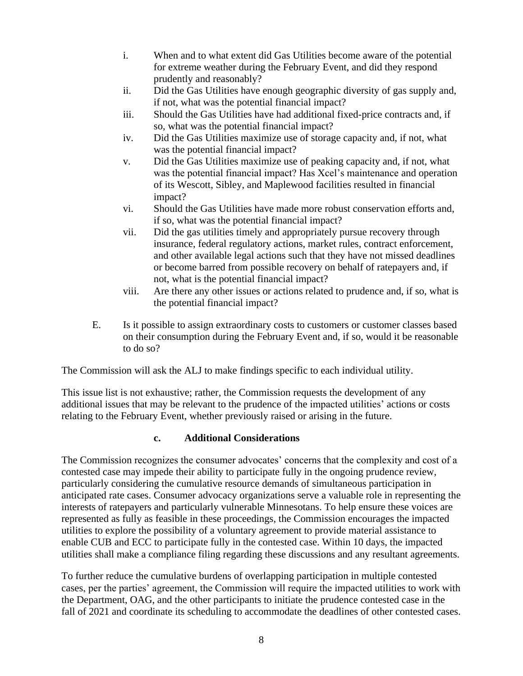- i. When and to what extent did Gas Utilities become aware of the potential for extreme weather during the February Event, and did they respond prudently and reasonably?
- ii. Did the Gas Utilities have enough geographic diversity of gas supply and, if not, what was the potential financial impact?
- iii. Should the Gas Utilities have had additional fixed-price contracts and, if so, what was the potential financial impact?
- iv. Did the Gas Utilities maximize use of storage capacity and, if not, what was the potential financial impact?
- v. Did the Gas Utilities maximize use of peaking capacity and, if not, what was the potential financial impact? Has Xcel's maintenance and operation of its Wescott, Sibley, and Maplewood facilities resulted in financial impact?
- vi. Should the Gas Utilities have made more robust conservation efforts and, if so, what was the potential financial impact?
- vii. Did the gas utilities timely and appropriately pursue recovery through insurance, federal regulatory actions, market rules, contract enforcement, and other available legal actions such that they have not missed deadlines or become barred from possible recovery on behalf of ratepayers and, if not, what is the potential financial impact?
- viii. Are there any other issues or actions related to prudence and, if so, what is the potential financial impact?
- E. Is it possible to assign extraordinary costs to customers or customer classes based on their consumption during the February Event and, if so, would it be reasonable to do so?

The Commission will ask the ALJ to make findings specific to each individual utility.

This issue list is not exhaustive; rather, the Commission requests the development of any additional issues that may be relevant to the prudence of the impacted utilities' actions or costs relating to the February Event, whether previously raised or arising in the future.

### **c. Additional Considerations**

The Commission recognizes the consumer advocates' concerns that the complexity and cost of a contested case may impede their ability to participate fully in the ongoing prudence review, particularly considering the cumulative resource demands of simultaneous participation in anticipated rate cases. Consumer advocacy organizations serve a valuable role in representing the interests of ratepayers and particularly vulnerable Minnesotans. To help ensure these voices are represented as fully as feasible in these proceedings, the Commission encourages the impacted utilities to explore the possibility of a voluntary agreement to provide material assistance to enable CUB and ECC to participate fully in the contested case. Within 10 days, the impacted utilities shall make a compliance filing regarding these discussions and any resultant agreements.

To further reduce the cumulative burdens of overlapping participation in multiple contested cases, per the parties' agreement, the Commission will require the impacted utilities to work with the Department, OAG, and the other participants to initiate the prudence contested case in the fall of 2021 and coordinate its scheduling to accommodate the deadlines of other contested cases.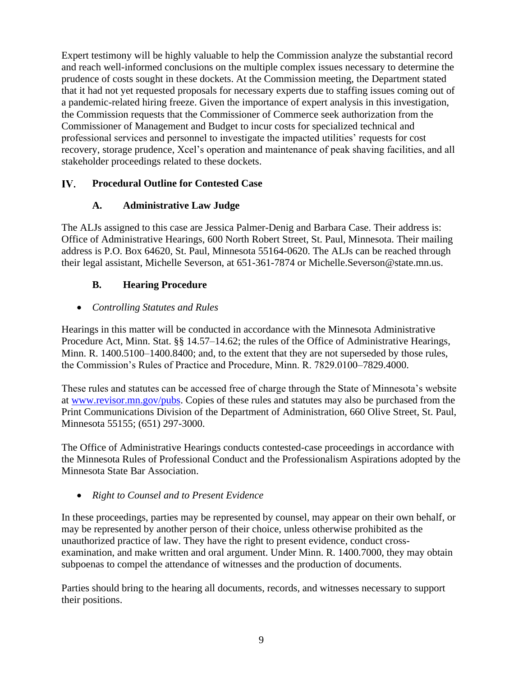Expert testimony will be highly valuable to help the Commission analyze the substantial record and reach well-informed conclusions on the multiple complex issues necessary to determine the prudence of costs sought in these dockets. At the Commission meeting, the Department stated that it had not yet requested proposals for necessary experts due to staffing issues coming out of a pandemic-related hiring freeze. Given the importance of expert analysis in this investigation, the Commission requests that the Commissioner of Commerce seek authorization from the Commissioner of Management and Budget to incur costs for specialized technical and professional services and personnel to investigate the impacted utilities' requests for cost recovery, storage prudence, Xcel's operation and maintenance of peak shaving facilities, and all stakeholder proceedings related to these dockets.

#### IV. **Procedural Outline for Contested Case**

## **A. Administrative Law Judge**

The ALJs assigned to this case are Jessica Palmer-Denig and Barbara Case. Their address is: Office of Administrative Hearings, 600 North Robert Street, St. Paul, Minnesota. Their mailing address is P.O. Box 64620, St. Paul, Minnesota 55164-0620. The ALJs can be reached through their legal assistant, Michelle Severson, at 651-361-7874 or Michelle.Severson@state.mn.us.

# **B. Hearing Procedure**

## • *Controlling Statutes and Rules*

Hearings in this matter will be conducted in accordance with the Minnesota Administrative Procedure Act, Minn. Stat. §§ 14.57–14.62; the rules of the Office of Administrative Hearings, Minn. R. 1400.5100–1400.8400; and, to the extent that they are not superseded by those rules, the Commission's Rules of Practice and Procedure, Minn. R. 7829.0100–7829.4000.

These rules and statutes can be accessed free of charge through the State of Minnesota's website at [www.revisor.mn.gov/pubs.](http://www.revisor.mn.gov/pubs) Copies of these rules and statutes may also be purchased from the Print Communications Division of the Department of Administration, 660 Olive Street, St. Paul, Minnesota 55155; (651) 297-3000.

The Office of Administrative Hearings conducts contested-case proceedings in accordance with the Minnesota Rules of Professional Conduct and the Professionalism Aspirations adopted by the Minnesota State Bar Association.

• *Right to Counsel and to Present Evidence*

In these proceedings, parties may be represented by counsel, may appear on their own behalf, or may be represented by another person of their choice, unless otherwise prohibited as the unauthorized practice of law. They have the right to present evidence, conduct crossexamination, and make written and oral argument. Under Minn. R. 1400.7000, they may obtain subpoenas to compel the attendance of witnesses and the production of documents.

Parties should bring to the hearing all documents, records, and witnesses necessary to support their positions.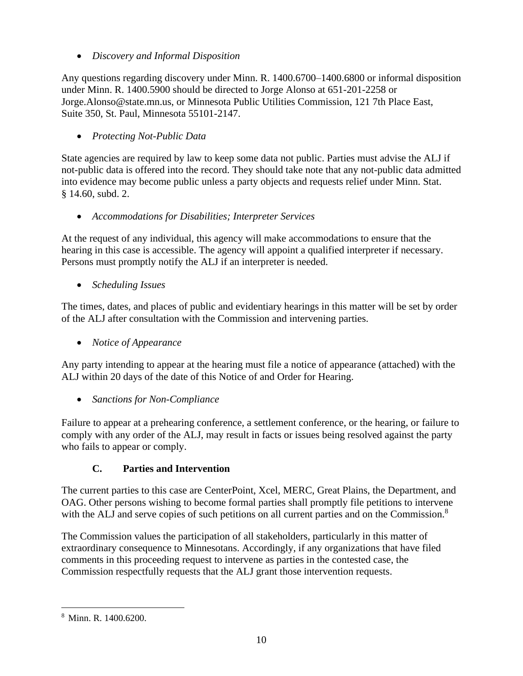• *Discovery and Informal Disposition*

Any questions regarding discovery under Minn. R. 1400.6700–1400.6800 or informal disposition under Minn. R. 1400.5900 should be directed to Jorge Alonso at 651-201-2258 or Jorge.Alonso@state.mn.us, or Minnesota Public Utilities Commission, 121 7th Place East, Suite 350, St. Paul, Minnesota 55101-2147.

• *Protecting Not-Public Data*

State agencies are required by law to keep some data not public. Parties must advise the ALJ if not-public data is offered into the record. They should take note that any not-public data admitted into evidence may become public unless a party objects and requests relief under Minn. Stat. § 14.60, subd. 2.

• *Accommodations for Disabilities; Interpreter Services*

At the request of any individual, this agency will make accommodations to ensure that the hearing in this case is accessible. The agency will appoint a qualified interpreter if necessary. Persons must promptly notify the ALJ if an interpreter is needed.

• *Scheduling Issues*

The times, dates, and places of public and evidentiary hearings in this matter will be set by order of the ALJ after consultation with the Commission and intervening parties.

• *Notice of Appearance*

Any party intending to appear at the hearing must file a notice of appearance (attached) with the ALJ within 20 days of the date of this Notice of and Order for Hearing.

• *Sanctions for Non-Compliance*

Failure to appear at a prehearing conference, a settlement conference, or the hearing, or failure to comply with any order of the ALJ, may result in facts or issues being resolved against the party who fails to appear or comply.

### **C. Parties and Intervention**

The current parties to this case are CenterPoint, Xcel, MERC, Great Plains, the Department, and OAG. Other persons wishing to become formal parties shall promptly file petitions to intervene with the ALJ and serve copies of such petitions on all current parties and on the Commission.<sup>8</sup>

The Commission values the participation of all stakeholders, particularly in this matter of extraordinary consequence to Minnesotans. Accordingly, if any organizations that have filed comments in this proceeding request to intervene as parties in the contested case, the Commission respectfully requests that the ALJ grant those intervention requests.

<sup>8</sup> Minn. R. 1400.6200.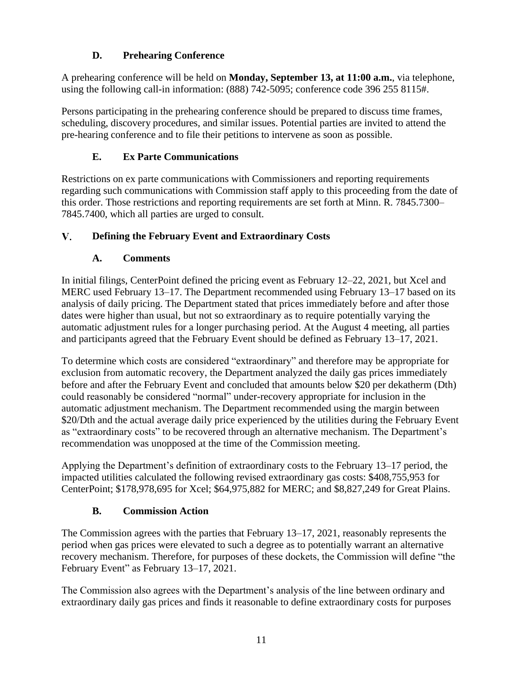## **D. Prehearing Conference**

A prehearing conference will be held on **Monday, September 13, at 11:00 a.m.**, via telephone, using the following call-in information: (888) 742-5095; conference code 396 255 8115#.

Persons participating in the prehearing conference should be prepared to discuss time frames, scheduling, discovery procedures, and similar issues. Potential parties are invited to attend the pre-hearing conference and to file their petitions to intervene as soon as possible.

# **E. Ex Parte Communications**

Restrictions on ex parte communications with Commissioners and reporting requirements regarding such communications with Commission staff apply to this proceeding from the date of this order. Those restrictions and reporting requirements are set forth at Minn. R. 7845.7300– 7845.7400, which all parties are urged to consult.

#### $V_{-}$ **Defining the February Event and Extraordinary Costs**

# **A. Comments**

In initial filings, CenterPoint defined the pricing event as February 12–22, 2021, but Xcel and MERC used February 13–17. The Department recommended using February 13–17 based on its analysis of daily pricing. The Department stated that prices immediately before and after those dates were higher than usual, but not so extraordinary as to require potentially varying the automatic adjustment rules for a longer purchasing period. At the August 4 meeting, all parties and participants agreed that the February Event should be defined as February 13–17, 2021.

To determine which costs are considered "extraordinary" and therefore may be appropriate for exclusion from automatic recovery, the Department analyzed the daily gas prices immediately before and after the February Event and concluded that amounts below \$20 per dekatherm (Dth) could reasonably be considered "normal" under-recovery appropriate for inclusion in the automatic adjustment mechanism. The Department recommended using the margin between \$20/Dth and the actual average daily price experienced by the utilities during the February Event as "extraordinary costs" to be recovered through an alternative mechanism. The Department's recommendation was unopposed at the time of the Commission meeting.

Applying the Department's definition of extraordinary costs to the February 13–17 period, the impacted utilities calculated the following revised extraordinary gas costs: \$408,755,953 for CenterPoint; \$178,978,695 for Xcel; \$64,975,882 for MERC; and \$8,827,249 for Great Plains.

# **B. Commission Action**

The Commission agrees with the parties that February 13–17, 2021, reasonably represents the period when gas prices were elevated to such a degree as to potentially warrant an alternative recovery mechanism. Therefore, for purposes of these dockets, the Commission will define "the February Event" as February 13–17, 2021.

The Commission also agrees with the Department's analysis of the line between ordinary and extraordinary daily gas prices and finds it reasonable to define extraordinary costs for purposes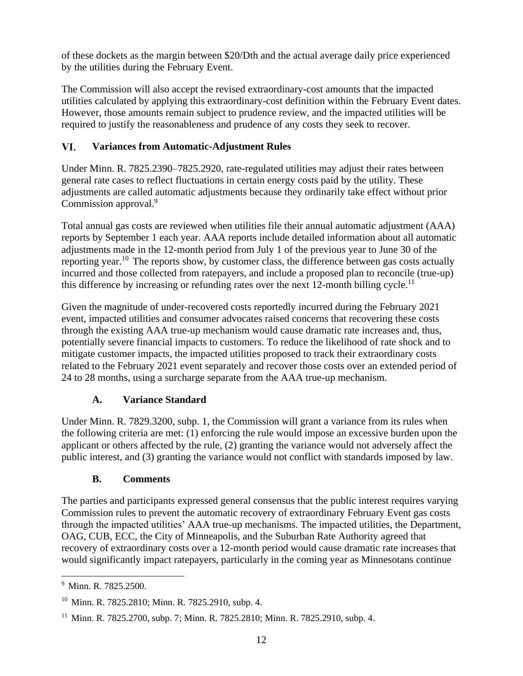of these dockets as the margin between \$20/Dth and the actual average daily price experienced by the utilities during the February Event.

The Commission will also accept the revised extraordinary-cost amounts that the impacted utilities calculated by applying this extraordinary-cost definition within the February Event dates. However, those amounts remain subject to prudence review, and the impacted utilities will be required to justify the reasonableness and prudence of any costs they seek to recover.

#### VI. **Variances from Automatic-Adjustment Rules**

Under Minn. R. 7825.2390–7825.2920, rate-regulated utilities may adjust their rates between general rate cases to reflect fluctuations in certain energy costs paid by the utility. These adjustments are called automatic adjustments because they ordinarily take effect without prior Commission approval.<sup>9</sup>

Total annual gas costs are reviewed when utilities file their annual automatic adjustment (AAA) reports by September 1 each year. AAA reports include detailed information about all automatic adjustments made in the 12-month period from July 1 of the previous year to June 30 of the reporting year.<sup>10</sup> The reports show, by customer class, the difference between gas costs actually incurred and those collected from ratepayers, and include a proposed plan to reconcile (true-up) this difference by increasing or refunding rates over the next  $12$ -month billing cycle.<sup>11</sup>

Given the magnitude of under-recovered costs reportedly incurred during the February 2021 event, impacted utilities and consumer advocates raised concerns that recovering these costs through the existing AAA true-up mechanism would cause dramatic rate increases and, thus, potentially severe financial impacts to customers. To reduce the likelihood of rate shock and to mitigate customer impacts, the impacted utilities proposed to track their extraordinary costs related to the February 2021 event separately and recover those costs over an extended period of 24 to 28 months, using a surcharge separate from the AAA true-up mechanism.

# **A. Variance Standard**

Under Minn. R. 7829.3200, subp. 1, the Commission will grant a variance from its rules when the following criteria are met: (1) enforcing the rule would impose an excessive burden upon the applicant or others affected by the rule, (2) granting the variance would not adversely affect the public interest, and (3) granting the variance would not conflict with standards imposed by law.

## **B. Comments**

The parties and participants expressed general consensus that the public interest requires varying Commission rules to prevent the automatic recovery of extraordinary February Event gas costs through the impacted utilities' AAA true-up mechanisms. The impacted utilities, the Department, OAG, CUB, ECC, the City of Minneapolis, and the Suburban Rate Authority agreed that recovery of extraordinary costs over a 12-month period would cause dramatic rate increases that would significantly impact ratepayers, particularly in the coming year as Minnesotans continue

<sup>9</sup> Minn. R. 7825.2500.

<sup>&</sup>lt;sup>10</sup> Minn. R. 7825.2810; Minn. R. 7825.2910, subp. 4.

<sup>&</sup>lt;sup>11</sup> Minn. R. 7825.2700, subp. 7; Minn. R. 7825.2810; Minn. R. 7825.2910, subp. 4.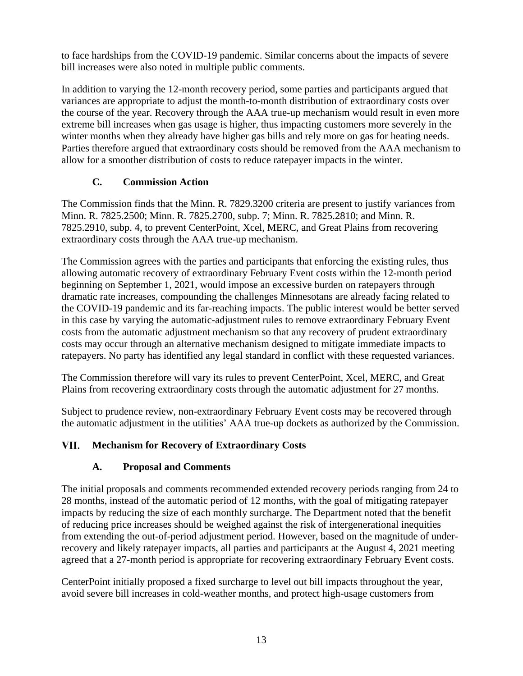to face hardships from the COVID-19 pandemic. Similar concerns about the impacts of severe bill increases were also noted in multiple public comments.

In addition to varying the 12-month recovery period, some parties and participants argued that variances are appropriate to adjust the month-to-month distribution of extraordinary costs over the course of the year. Recovery through the AAA true-up mechanism would result in even more extreme bill increases when gas usage is higher, thus impacting customers more severely in the winter months when they already have higher gas bills and rely more on gas for heating needs. Parties therefore argued that extraordinary costs should be removed from the AAA mechanism to allow for a smoother distribution of costs to reduce ratepayer impacts in the winter.

## **C. Commission Action**

The Commission finds that the Minn. R. 7829.3200 criteria are present to justify variances from Minn. R. 7825.2500; Minn. R. 7825.2700, subp. 7; Minn. R. 7825.2810; and Minn. R. 7825.2910, subp. 4, to prevent CenterPoint, Xcel, MERC, and Great Plains from recovering extraordinary costs through the AAA true-up mechanism.

The Commission agrees with the parties and participants that enforcing the existing rules, thus allowing automatic recovery of extraordinary February Event costs within the 12-month period beginning on September 1, 2021, would impose an excessive burden on ratepayers through dramatic rate increases, compounding the challenges Minnesotans are already facing related to the COVID-19 pandemic and its far-reaching impacts. The public interest would be better served in this case by varying the automatic-adjustment rules to remove extraordinary February Event costs from the automatic adjustment mechanism so that any recovery of prudent extraordinary costs may occur through an alternative mechanism designed to mitigate immediate impacts to ratepayers. No party has identified any legal standard in conflict with these requested variances.

The Commission therefore will vary its rules to prevent CenterPoint, Xcel, MERC, and Great Plains from recovering extraordinary costs through the automatic adjustment for 27 months.

Subject to prudence review, non-extraordinary February Event costs may be recovered through the automatic adjustment in the utilities' AAA true-up dockets as authorized by the Commission.

#### VII. **Mechanism for Recovery of Extraordinary Costs**

# **A. Proposal and Comments**

The initial proposals and comments recommended extended recovery periods ranging from 24 to 28 months, instead of the automatic period of 12 months, with the goal of mitigating ratepayer impacts by reducing the size of each monthly surcharge. The Department noted that the benefit of reducing price increases should be weighed against the risk of intergenerational inequities from extending the out-of-period adjustment period. However, based on the magnitude of underrecovery and likely ratepayer impacts, all parties and participants at the August 4, 2021 meeting agreed that a 27-month period is appropriate for recovering extraordinary February Event costs.

CenterPoint initially proposed a fixed surcharge to level out bill impacts throughout the year, avoid severe bill increases in cold-weather months, and protect high-usage customers from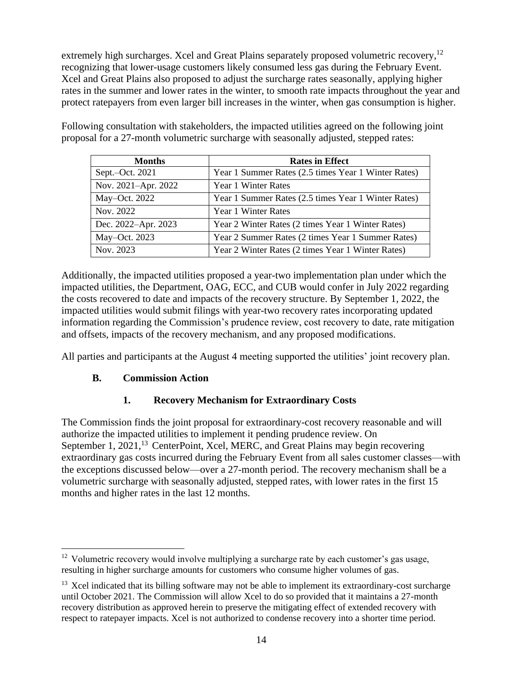extremely high surcharges. Xcel and Great Plains separately proposed volumetric recovery,<sup>12</sup> recognizing that lower-usage customers likely consumed less gas during the February Event. Xcel and Great Plains also proposed to adjust the surcharge rates seasonally, applying higher rates in the summer and lower rates in the winter, to smooth rate impacts throughout the year and protect ratepayers from even larger bill increases in the winter, when gas consumption is higher.

| <b>Months</b>       | <b>Rates in Effect</b>                              |
|---------------------|-----------------------------------------------------|
| Sept. $-$ Oct. 2021 | Year 1 Summer Rates (2.5 times Year 1 Winter Rates) |
| Nov. 2021-Apr. 2022 | Year 1 Winter Rates                                 |
| May-Oct. 2022       | Year 1 Summer Rates (2.5 times Year 1 Winter Rates) |
| Nov. 2022           | Year 1 Winter Rates                                 |
| Dec. 2022-Apr. 2023 | Year 2 Winter Rates (2 times Year 1 Winter Rates)   |
| May-Oct. 2023       | Year 2 Summer Rates (2 times Year 1 Summer Rates)   |
| Nov. 2023           | Year 2 Winter Rates (2 times Year 1 Winter Rates)   |

Following consultation with stakeholders, the impacted utilities agreed on the following joint proposal for a 27-month volumetric surcharge with seasonally adjusted, stepped rates:

Additionally, the impacted utilities proposed a year-two implementation plan under which the impacted utilities, the Department, OAG, ECC, and CUB would confer in July 2022 regarding the costs recovered to date and impacts of the recovery structure. By September 1, 2022, the impacted utilities would submit filings with year-two recovery rates incorporating updated information regarding the Commission's prudence review, cost recovery to date, rate mitigation and offsets, impacts of the recovery mechanism, and any proposed modifications.

All parties and participants at the August 4 meeting supported the utilities' joint recovery plan.

## **B. Commission Action**

## **1. Recovery Mechanism for Extraordinary Costs**

The Commission finds the joint proposal for extraordinary-cost recovery reasonable and will authorize the impacted utilities to implement it pending prudence review. On September 1, 2021,<sup>13</sup> CenterPoint, Xcel, MERC, and Great Plains may begin recovering extraordinary gas costs incurred during the February Event from all sales customer classes—with the exceptions discussed below—over a 27-month period. The recovery mechanism shall be a volumetric surcharge with seasonally adjusted, stepped rates, with lower rates in the first 15 months and higher rates in the last 12 months.

 $12$  Volumetric recovery would involve multiplying a surcharge rate by each customer's gas usage, resulting in higher surcharge amounts for customers who consume higher volumes of gas.

 $13$  Xcel indicated that its billing software may not be able to implement its extraordinary-cost surcharge until October 2021. The Commission will allow Xcel to do so provided that it maintains a 27-month recovery distribution as approved herein to preserve the mitigating effect of extended recovery with respect to ratepayer impacts. Xcel is not authorized to condense recovery into a shorter time period.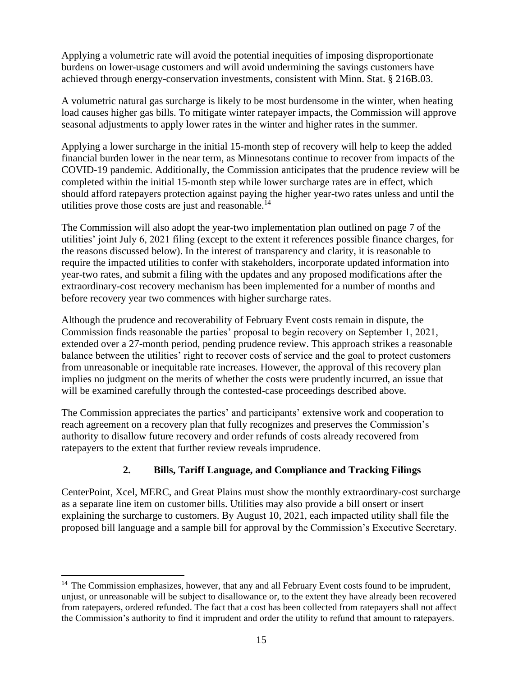Applying a volumetric rate will avoid the potential inequities of imposing disproportionate burdens on lower-usage customers and will avoid undermining the savings customers have achieved through energy-conservation investments, consistent with Minn. Stat. § 216B.03.

A volumetric natural gas surcharge is likely to be most burdensome in the winter, when heating load causes higher gas bills. To mitigate winter ratepayer impacts, the Commission will approve seasonal adjustments to apply lower rates in the winter and higher rates in the summer.

Applying a lower surcharge in the initial 15-month step of recovery will help to keep the added financial burden lower in the near term, as Minnesotans continue to recover from impacts of the COVID-19 pandemic. Additionally, the Commission anticipates that the prudence review will be completed within the initial 15-month step while lower surcharge rates are in effect, which should afford ratepayers protection against paying the higher year-two rates unless and until the utilities prove those costs are just and reasonable.<sup>14</sup>

The Commission will also adopt the year-two implementation plan outlined on page 7 of the utilities' joint July 6, 2021 filing (except to the extent it references possible finance charges, for the reasons discussed below). In the interest of transparency and clarity, it is reasonable to require the impacted utilities to confer with stakeholders, incorporate updated information into year-two rates, and submit a filing with the updates and any proposed modifications after the extraordinary-cost recovery mechanism has been implemented for a number of months and before recovery year two commences with higher surcharge rates.

Although the prudence and recoverability of February Event costs remain in dispute, the Commission finds reasonable the parties' proposal to begin recovery on September 1, 2021, extended over a 27-month period, pending prudence review. This approach strikes a reasonable balance between the utilities' right to recover costs of service and the goal to protect customers from unreasonable or inequitable rate increases. However, the approval of this recovery plan implies no judgment on the merits of whether the costs were prudently incurred, an issue that will be examined carefully through the contested-case proceedings described above.

The Commission appreciates the parties' and participants' extensive work and cooperation to reach agreement on a recovery plan that fully recognizes and preserves the Commission's authority to disallow future recovery and order refunds of costs already recovered from ratepayers to the extent that further review reveals imprudence.

## **2. Bills, Tariff Language, and Compliance and Tracking Filings**

CenterPoint, Xcel, MERC, and Great Plains must show the monthly extraordinary-cost surcharge as a separate line item on customer bills. Utilities may also provide a bill onsert or insert explaining the surcharge to customers. By August 10, 2021, each impacted utility shall file the proposed bill language and a sample bill for approval by the Commission's Executive Secretary.

 $14$  The Commission emphasizes, however, that any and all February Event costs found to be imprudent, unjust, or unreasonable will be subject to disallowance or, to the extent they have already been recovered from ratepayers, ordered refunded. The fact that a cost has been collected from ratepayers shall not affect the Commission's authority to find it imprudent and order the utility to refund that amount to ratepayers.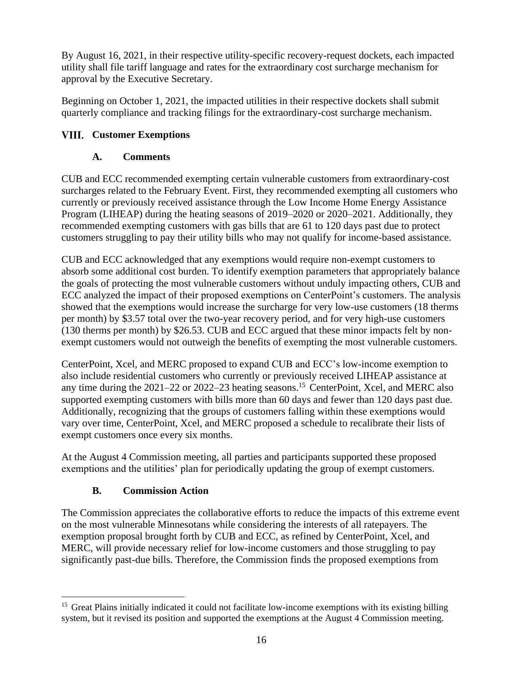By August 16, 2021, in their respective utility-specific recovery-request dockets, each impacted utility shall file tariff language and rates for the extraordinary cost surcharge mechanism for approval by the Executive Secretary.

Beginning on October 1, 2021, the impacted utilities in their respective dockets shall submit quarterly compliance and tracking filings for the extraordinary-cost surcharge mechanism.

# **Customer Exemptions**

# **A. Comments**

CUB and ECC recommended exempting certain vulnerable customers from extraordinary-cost surcharges related to the February Event. First, they recommended exempting all customers who currently or previously received assistance through the Low Income Home Energy Assistance Program (LIHEAP) during the heating seasons of 2019–2020 or 2020–2021. Additionally, they recommended exempting customers with gas bills that are 61 to 120 days past due to protect customers struggling to pay their utility bills who may not qualify for income-based assistance.

CUB and ECC acknowledged that any exemptions would require non-exempt customers to absorb some additional cost burden. To identify exemption parameters that appropriately balance the goals of protecting the most vulnerable customers without unduly impacting others, CUB and ECC analyzed the impact of their proposed exemptions on CenterPoint's customers. The analysis showed that the exemptions would increase the surcharge for very low-use customers (18 therms per month) by \$3.57 total over the two-year recovery period, and for very high-use customers (130 therms per month) by \$26.53. CUB and ECC argued that these minor impacts felt by nonexempt customers would not outweigh the benefits of exempting the most vulnerable customers.

CenterPoint, Xcel, and MERC proposed to expand CUB and ECC's low-income exemption to also include residential customers who currently or previously received LIHEAP assistance at any time during the 2021–22 or 2022–23 heating seasons. <sup>15</sup> CenterPoint, Xcel, and MERC also supported exempting customers with bills more than 60 days and fewer than 120 days past due. Additionally, recognizing that the groups of customers falling within these exemptions would vary over time, CenterPoint, Xcel, and MERC proposed a schedule to recalibrate their lists of exempt customers once every six months.

At the August 4 Commission meeting, all parties and participants supported these proposed exemptions and the utilities' plan for periodically updating the group of exempt customers.

# **B. Commission Action**

The Commission appreciates the collaborative efforts to reduce the impacts of this extreme event on the most vulnerable Minnesotans while considering the interests of all ratepayers. The exemption proposal brought forth by CUB and ECC, as refined by CenterPoint, Xcel, and MERC, will provide necessary relief for low-income customers and those struggling to pay significantly past-due bills. Therefore, the Commission finds the proposed exemptions from

<sup>&</sup>lt;sup>15</sup> Great Plains initially indicated it could not facilitate low-income exemptions with its existing billing system, but it revised its position and supported the exemptions at the August 4 Commission meeting.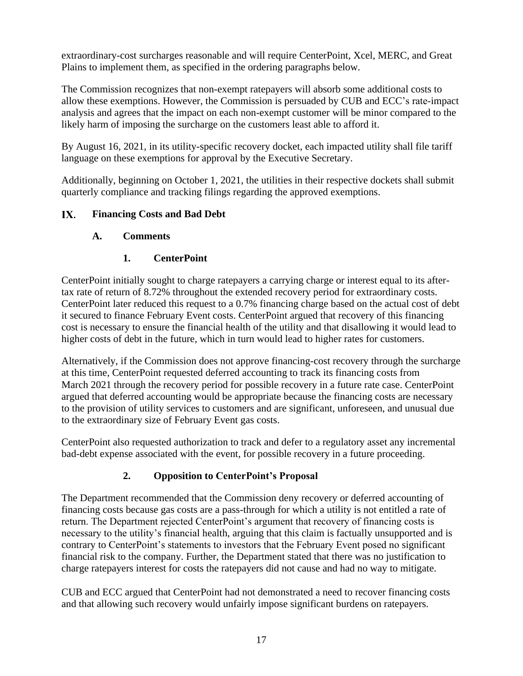extraordinary-cost surcharges reasonable and will require CenterPoint, Xcel, MERC, and Great Plains to implement them, as specified in the ordering paragraphs below.

The Commission recognizes that non-exempt ratepayers will absorb some additional costs to allow these exemptions. However, the Commission is persuaded by CUB and ECC's rate-impact analysis and agrees that the impact on each non-exempt customer will be minor compared to the likely harm of imposing the surcharge on the customers least able to afford it.

By August 16, 2021, in its utility-specific recovery docket, each impacted utility shall file tariff language on these exemptions for approval by the Executive Secretary.

Additionally, beginning on October 1, 2021, the utilities in their respective dockets shall submit quarterly compliance and tracking filings regarding the approved exemptions.

#### $IX.$ **Financing Costs and Bad Debt**

### **A. Comments**

## **1. CenterPoint**

CenterPoint initially sought to charge ratepayers a carrying charge or interest equal to its aftertax rate of return of 8.72% throughout the extended recovery period for extraordinary costs. CenterPoint later reduced this request to a 0.7% financing charge based on the actual cost of debt it secured to finance February Event costs. CenterPoint argued that recovery of this financing cost is necessary to ensure the financial health of the utility and that disallowing it would lead to higher costs of debt in the future, which in turn would lead to higher rates for customers.

Alternatively, if the Commission does not approve financing-cost recovery through the surcharge at this time, CenterPoint requested deferred accounting to track its financing costs from March 2021 through the recovery period for possible recovery in a future rate case. CenterPoint argued that deferred accounting would be appropriate because the financing costs are necessary to the provision of utility services to customers and are significant, unforeseen, and unusual due to the extraordinary size of February Event gas costs.

CenterPoint also requested authorization to track and defer to a regulatory asset any incremental bad-debt expense associated with the event, for possible recovery in a future proceeding.

## **2. Opposition to CenterPoint's Proposal**

The Department recommended that the Commission deny recovery or deferred accounting of financing costs because gas costs are a pass-through for which a utility is not entitled a rate of return. The Department rejected CenterPoint's argument that recovery of financing costs is necessary to the utility's financial health, arguing that this claim is factually unsupported and is contrary to CenterPoint's statements to investors that the February Event posed no significant financial risk to the company. Further, the Department stated that there was no justification to charge ratepayers interest for costs the ratepayers did not cause and had no way to mitigate.

CUB and ECC argued that CenterPoint had not demonstrated a need to recover financing costs and that allowing such recovery would unfairly impose significant burdens on ratepayers.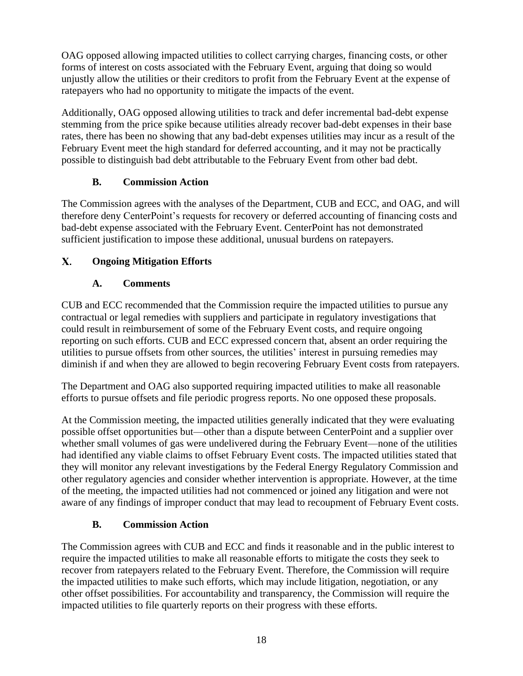OAG opposed allowing impacted utilities to collect carrying charges, financing costs, or other forms of interest on costs associated with the February Event, arguing that doing so would unjustly allow the utilities or their creditors to profit from the February Event at the expense of ratepayers who had no opportunity to mitigate the impacts of the event.

Additionally, OAG opposed allowing utilities to track and defer incremental bad-debt expense stemming from the price spike because utilities already recover bad-debt expenses in their base rates, there has been no showing that any bad-debt expenses utilities may incur as a result of the February Event meet the high standard for deferred accounting, and it may not be practically possible to distinguish bad debt attributable to the February Event from other bad debt.

## **B. Commission Action**

The Commission agrees with the analyses of the Department, CUB and ECC, and OAG, and will therefore deny CenterPoint's requests for recovery or deferred accounting of financing costs and bad-debt expense associated with the February Event. CenterPoint has not demonstrated sufficient justification to impose these additional, unusual burdens on ratepayers.

#### $\mathbf{X}$ . **Ongoing Mitigation Efforts**

# **A. Comments**

CUB and ECC recommended that the Commission require the impacted utilities to pursue any contractual or legal remedies with suppliers and participate in regulatory investigations that could result in reimbursement of some of the February Event costs, and require ongoing reporting on such efforts. CUB and ECC expressed concern that, absent an order requiring the utilities to pursue offsets from other sources, the utilities' interest in pursuing remedies may diminish if and when they are allowed to begin recovering February Event costs from ratepayers.

The Department and OAG also supported requiring impacted utilities to make all reasonable efforts to pursue offsets and file periodic progress reports. No one opposed these proposals.

At the Commission meeting, the impacted utilities generally indicated that they were evaluating possible offset opportunities but—other than a dispute between CenterPoint and a supplier over whether small volumes of gas were undelivered during the February Event—none of the utilities had identified any viable claims to offset February Event costs. The impacted utilities stated that they will monitor any relevant investigations by the Federal Energy Regulatory Commission and other regulatory agencies and consider whether intervention is appropriate. However, at the time of the meeting, the impacted utilities had not commenced or joined any litigation and were not aware of any findings of improper conduct that may lead to recoupment of February Event costs.

# **B. Commission Action**

The Commission agrees with CUB and ECC and finds it reasonable and in the public interest to require the impacted utilities to make all reasonable efforts to mitigate the costs they seek to recover from ratepayers related to the February Event. Therefore, the Commission will require the impacted utilities to make such efforts, which may include litigation, negotiation, or any other offset possibilities. For accountability and transparency, the Commission will require the impacted utilities to file quarterly reports on their progress with these efforts.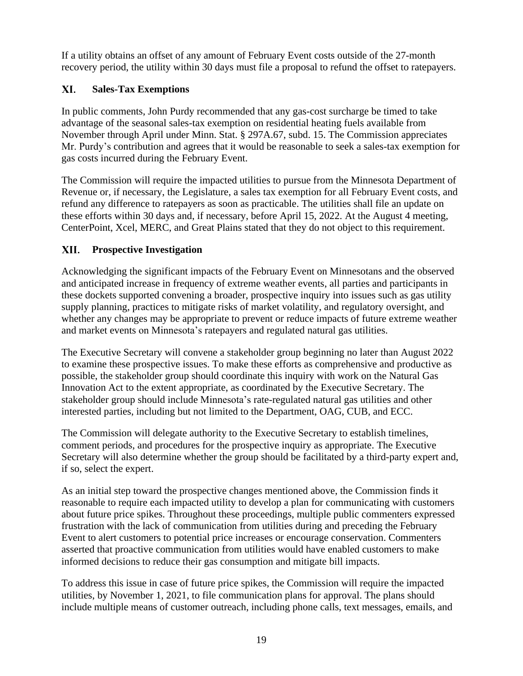If a utility obtains an offset of any amount of February Event costs outside of the 27-month recovery period, the utility within 30 days must file a proposal to refund the offset to ratepayers.

#### XI. **Sales-Tax Exemptions**

In public comments, John Purdy recommended that any gas-cost surcharge be timed to take advantage of the seasonal sales-tax exemption on residential heating fuels available from November through April under Minn. Stat. § 297A.67, subd. 15. The Commission appreciates Mr. Purdy's contribution and agrees that it would be reasonable to seek a sales-tax exemption for gas costs incurred during the February Event.

The Commission will require the impacted utilities to pursue from the Minnesota Department of Revenue or, if necessary, the Legislature, a sales tax exemption for all February Event costs, and refund any difference to ratepayers as soon as practicable. The utilities shall file an update on these efforts within 30 days and, if necessary, before April 15, 2022. At the August 4 meeting, CenterPoint, Xcel, MERC, and Great Plains stated that they do not object to this requirement.

#### XII. **Prospective Investigation**

Acknowledging the significant impacts of the February Event on Minnesotans and the observed and anticipated increase in frequency of extreme weather events, all parties and participants in these dockets supported convening a broader, prospective inquiry into issues such as gas utility supply planning, practices to mitigate risks of market volatility, and regulatory oversight, and whether any changes may be appropriate to prevent or reduce impacts of future extreme weather and market events on Minnesota's ratepayers and regulated natural gas utilities.

The Executive Secretary will convene a stakeholder group beginning no later than August 2022 to examine these prospective issues. To make these efforts as comprehensive and productive as possible, the stakeholder group should coordinate this inquiry with work on the Natural Gas Innovation Act to the extent appropriate, as coordinated by the Executive Secretary. The stakeholder group should include Minnesota's rate-regulated natural gas utilities and other interested parties, including but not limited to the Department, OAG, CUB, and ECC.

The Commission will delegate authority to the Executive Secretary to establish timelines, comment periods, and procedures for the prospective inquiry as appropriate. The Executive Secretary will also determine whether the group should be facilitated by a third-party expert and, if so, select the expert.

As an initial step toward the prospective changes mentioned above, the Commission finds it reasonable to require each impacted utility to develop a plan for communicating with customers about future price spikes. Throughout these proceedings, multiple public commenters expressed frustration with the lack of communication from utilities during and preceding the February Event to alert customers to potential price increases or encourage conservation. Commenters asserted that proactive communication from utilities would have enabled customers to make informed decisions to reduce their gas consumption and mitigate bill impacts.

To address this issue in case of future price spikes, the Commission will require the impacted utilities, by November 1, 2021, to file communication plans for approval. The plans should include multiple means of customer outreach, including phone calls, text messages, emails, and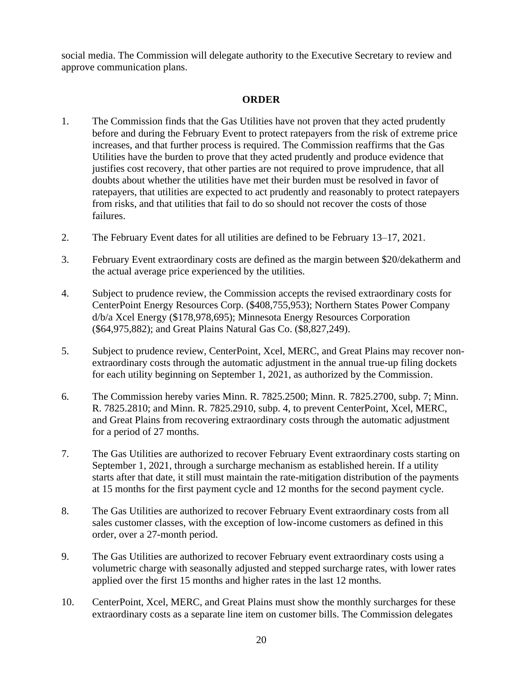social media. The Commission will delegate authority to the Executive Secretary to review and approve communication plans.

### **ORDER**

- 1. The Commission finds that the Gas Utilities have not proven that they acted prudently before and during the February Event to protect ratepayers from the risk of extreme price increases, and that further process is required. The Commission reaffirms that the Gas Utilities have the burden to prove that they acted prudently and produce evidence that justifies cost recovery, that other parties are not required to prove imprudence, that all doubts about whether the utilities have met their burden must be resolved in favor of ratepayers, that utilities are expected to act prudently and reasonably to protect ratepayers from risks, and that utilities that fail to do so should not recover the costs of those failures.
- 2. The February Event dates for all utilities are defined to be February 13–17, 2021.
- 3. February Event extraordinary costs are defined as the margin between \$20/dekatherm and the actual average price experienced by the utilities.
- 4. Subject to prudence review, the Commission accepts the revised extraordinary costs for CenterPoint Energy Resources Corp. (\$408,755,953); Northern States Power Company d/b/a Xcel Energy (\$178,978,695); Minnesota Energy Resources Corporation (\$64,975,882); and Great Plains Natural Gas Co. (\$8,827,249).
- 5. Subject to prudence review, CenterPoint, Xcel, MERC, and Great Plains may recover nonextraordinary costs through the automatic adjustment in the annual true-up filing dockets for each utility beginning on September 1, 2021, as authorized by the Commission.
- 6. The Commission hereby varies Minn. R. 7825.2500; Minn. R. 7825.2700, subp. 7; Minn. R. 7825.2810; and Minn. R. 7825.2910, subp. 4, to prevent CenterPoint, Xcel, MERC, and Great Plains from recovering extraordinary costs through the automatic adjustment for a period of 27 months.
- 7. The Gas Utilities are authorized to recover February Event extraordinary costs starting on September 1, 2021, through a surcharge mechanism as established herein. If a utility starts after that date, it still must maintain the rate-mitigation distribution of the payments at 15 months for the first payment cycle and 12 months for the second payment cycle.
- 8. The Gas Utilities are authorized to recover February Event extraordinary costs from all sales customer classes, with the exception of low-income customers as defined in this order, over a 27-month period.
- 9. The Gas Utilities are authorized to recover February event extraordinary costs using a volumetric charge with seasonally adjusted and stepped surcharge rates, with lower rates applied over the first 15 months and higher rates in the last 12 months.
- 10. CenterPoint, Xcel, MERC, and Great Plains must show the monthly surcharges for these extraordinary costs as a separate line item on customer bills. The Commission delegates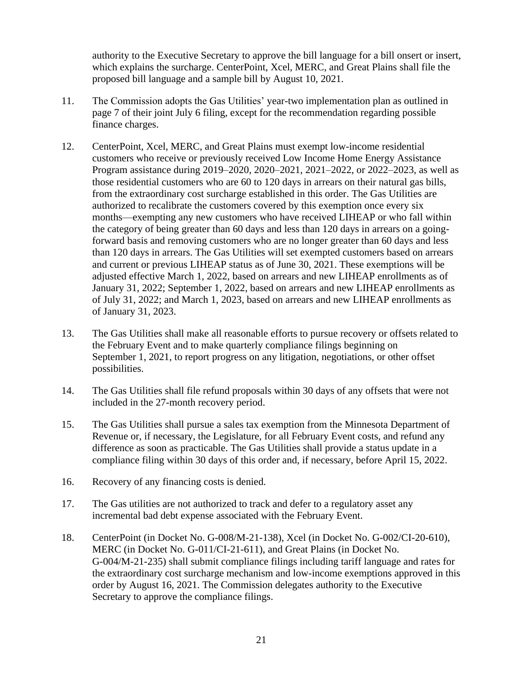authority to the Executive Secretary to approve the bill language for a bill onsert or insert, which explains the surcharge. CenterPoint, Xcel, MERC, and Great Plains shall file the proposed bill language and a sample bill by August 10, 2021.

- 11. The Commission adopts the Gas Utilities' year-two implementation plan as outlined in page 7 of their joint July 6 filing, except for the recommendation regarding possible finance charges.
- 12. CenterPoint, Xcel, MERC, and Great Plains must exempt low-income residential customers who receive or previously received Low Income Home Energy Assistance Program assistance during 2019–2020, 2020–2021, 2021–2022, or 2022–2023, as well as those residential customers who are 60 to 120 days in arrears on their natural gas bills, from the extraordinary cost surcharge established in this order. The Gas Utilities are authorized to recalibrate the customers covered by this exemption once every six months—exempting any new customers who have received LIHEAP or who fall within the category of being greater than 60 days and less than 120 days in arrears on a goingforward basis and removing customers who are no longer greater than 60 days and less than 120 days in arrears. The Gas Utilities will set exempted customers based on arrears and current or previous LIHEAP status as of June 30, 2021. These exemptions will be adjusted effective March 1, 2022, based on arrears and new LIHEAP enrollments as of January 31, 2022; September 1, 2022, based on arrears and new LIHEAP enrollments as of July 31, 2022; and March 1, 2023, based on arrears and new LIHEAP enrollments as of January 31, 2023.
- 13. The Gas Utilities shall make all reasonable efforts to pursue recovery or offsets related to the February Event and to make quarterly compliance filings beginning on September 1, 2021, to report progress on any litigation, negotiations, or other offset possibilities.
- 14. The Gas Utilities shall file refund proposals within 30 days of any offsets that were not included in the 27-month recovery period.
- 15. The Gas Utilities shall pursue a sales tax exemption from the Minnesota Department of Revenue or, if necessary, the Legislature, for all February Event costs, and refund any difference as soon as practicable. The Gas Utilities shall provide a status update in a compliance filing within 30 days of this order and, if necessary, before April 15, 2022.
- 16. Recovery of any financing costs is denied.
- 17. The Gas utilities are not authorized to track and defer to a regulatory asset any incremental bad debt expense associated with the February Event.
- 18. CenterPoint (in Docket No. G-008/M-21-138), Xcel (in Docket No. G-002/CI-20-610), MERC (in Docket No. G-011/CI-21-611), and Great Plains (in Docket No. G-004/M-21-235) shall submit compliance filings including tariff language and rates for the extraordinary cost surcharge mechanism and low-income exemptions approved in this order by August 16, 2021. The Commission delegates authority to the Executive Secretary to approve the compliance filings.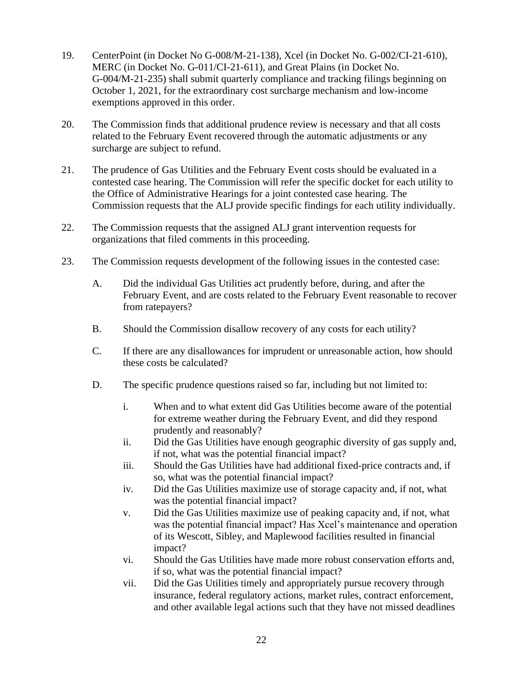- 19. CenterPoint (in Docket No G-008/M-21-138), Xcel (in Docket No. G-002/CI-21-610), MERC (in Docket No. G-011/CI-21-611), and Great Plains (in Docket No. G-004/M-21-235) shall submit quarterly compliance and tracking filings beginning on October 1, 2021, for the extraordinary cost surcharge mechanism and low-income exemptions approved in this order.
- 20. The Commission finds that additional prudence review is necessary and that all costs related to the February Event recovered through the automatic adjustments or any surcharge are subject to refund.
- 21. The prudence of Gas Utilities and the February Event costs should be evaluated in a contested case hearing. The Commission will refer the specific docket for each utility to the Office of Administrative Hearings for a joint contested case hearing. The Commission requests that the ALJ provide specific findings for each utility individually.
- 22. The Commission requests that the assigned ALJ grant intervention requests for organizations that filed comments in this proceeding.
- 23. The Commission requests development of the following issues in the contested case:
	- A. Did the individual Gas Utilities act prudently before, during, and after the February Event, and are costs related to the February Event reasonable to recover from ratepayers?
	- B. Should the Commission disallow recovery of any costs for each utility?
	- C. If there are any disallowances for imprudent or unreasonable action, how should these costs be calculated?
	- D. The specific prudence questions raised so far, including but not limited to:
		- i. When and to what extent did Gas Utilities become aware of the potential for extreme weather during the February Event, and did they respond prudently and reasonably?
		- ii. Did the Gas Utilities have enough geographic diversity of gas supply and, if not, what was the potential financial impact?
		- iii. Should the Gas Utilities have had additional fixed-price contracts and, if so, what was the potential financial impact?
		- iv. Did the Gas Utilities maximize use of storage capacity and, if not, what was the potential financial impact?
		- v. Did the Gas Utilities maximize use of peaking capacity and, if not, what was the potential financial impact? Has Xcel's maintenance and operation of its Wescott, Sibley, and Maplewood facilities resulted in financial impact?
		- vi. Should the Gas Utilities have made more robust conservation efforts and, if so, what was the potential financial impact?
		- vii. Did the Gas Utilities timely and appropriately pursue recovery through insurance, federal regulatory actions, market rules, contract enforcement, and other available legal actions such that they have not missed deadlines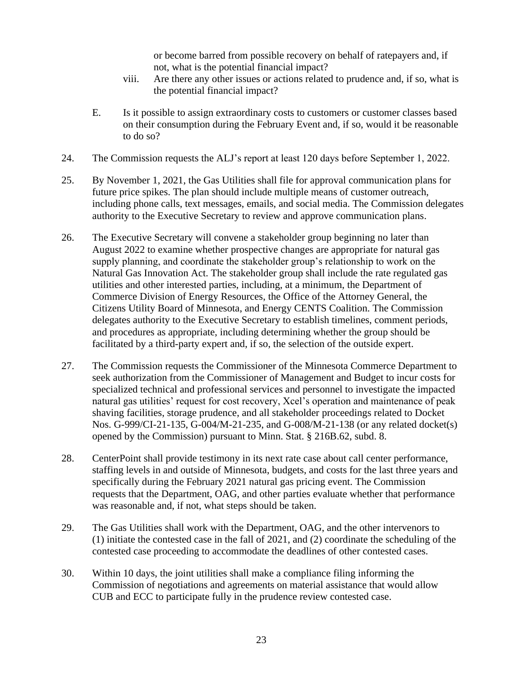or become barred from possible recovery on behalf of ratepayers and, if not, what is the potential financial impact?

- viii. Are there any other issues or actions related to prudence and, if so, what is the potential financial impact?
- E. Is it possible to assign extraordinary costs to customers or customer classes based on their consumption during the February Event and, if so, would it be reasonable to do so?
- 24. The Commission requests the ALJ's report at least 120 days before September 1, 2022.
- 25. By November 1, 2021, the Gas Utilities shall file for approval communication plans for future price spikes. The plan should include multiple means of customer outreach, including phone calls, text messages, emails, and social media. The Commission delegates authority to the Executive Secretary to review and approve communication plans.
- 26. The Executive Secretary will convene a stakeholder group beginning no later than August 2022 to examine whether prospective changes are appropriate for natural gas supply planning, and coordinate the stakeholder group's relationship to work on the Natural Gas Innovation Act. The stakeholder group shall include the rate regulated gas utilities and other interested parties, including, at a minimum, the Department of Commerce Division of Energy Resources, the Office of the Attorney General, the Citizens Utility Board of Minnesota, and Energy CENTS Coalition. The Commission delegates authority to the Executive Secretary to establish timelines, comment periods, and procedures as appropriate, including determining whether the group should be facilitated by a third-party expert and, if so, the selection of the outside expert.
- 27. The Commission requests the Commissioner of the Minnesota Commerce Department to seek authorization from the Commissioner of Management and Budget to incur costs for specialized technical and professional services and personnel to investigate the impacted natural gas utilities' request for cost recovery, Xcel's operation and maintenance of peak shaving facilities, storage prudence, and all stakeholder proceedings related to Docket Nos. G-999/CI-21-135, G-004/M-21-235, and G-008/M-21-138 (or any related docket(s) opened by the Commission) pursuant to Minn. Stat. § 216B.62, subd. 8.
- 28. CenterPoint shall provide testimony in its next rate case about call center performance, staffing levels in and outside of Minnesota, budgets, and costs for the last three years and specifically during the February 2021 natural gas pricing event. The Commission requests that the Department, OAG, and other parties evaluate whether that performance was reasonable and, if not, what steps should be taken.
- 29. The Gas Utilities shall work with the Department, OAG, and the other intervenors to (1) initiate the contested case in the fall of 2021, and (2) coordinate the scheduling of the contested case proceeding to accommodate the deadlines of other contested cases.
- 30. Within 10 days, the joint utilities shall make a compliance filing informing the Commission of negotiations and agreements on material assistance that would allow CUB and ECC to participate fully in the prudence review contested case.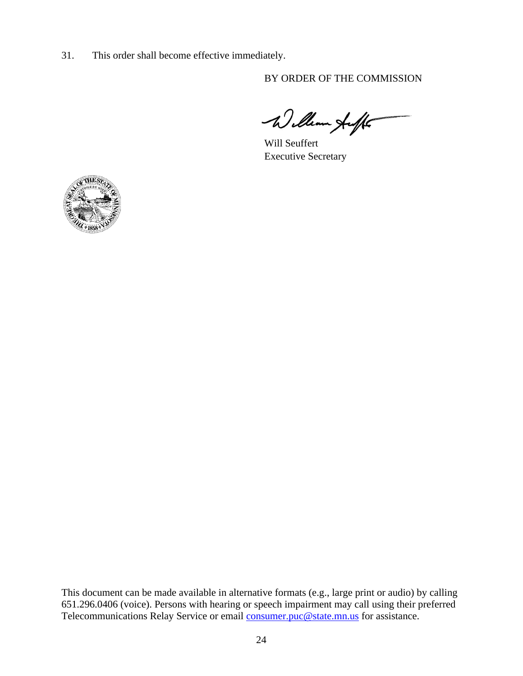31. This order shall become effective immediately.

BY ORDER OF THE COMMISSION

William Auff

Will Seuffert Executive Secretary



This document can be made available in alternative formats (e.g., large print or audio) by calling 651.296.0406 (voice). Persons with hearing or speech impairment may call using their preferred Telecommunications Relay Service or email [consumer.puc@state.mn.us](mailto:consumer.puc@state.mn.us) for assistance.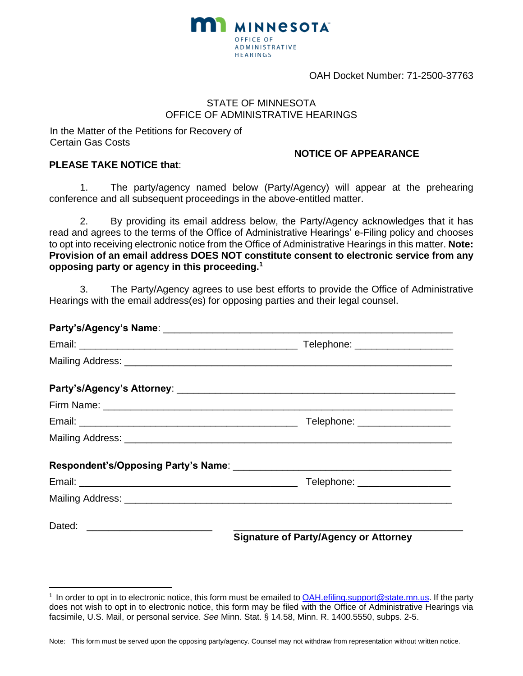

OAH Docket Number: 71-2500-37763

### STATE OF MINNESOTA OFFICE OF ADMINISTRATIVE HEARINGS

In the Matter of the Petitions for Recovery of Certain Gas Costs

### **NOTICE OF APPEARANCE**

### **PLEASE TAKE NOTICE that**:

1. The party/agency named below (Party/Agency) will appear at the prehearing conference and all subsequent proceedings in the above-entitled matter.

2. By providing its email address below, the Party/Agency acknowledges that it has read and agrees to the terms of the Office of Administrative Hearings' e-Filing policy and chooses to opt into receiving electronic notice from the Office of Administrative Hearings in this matter. **Note: Provision of an email address DOES NOT constitute consent to electronic service from any opposing party or agency in this proceeding.<sup>1</sup>**

3. The Party/Agency agrees to use best efforts to provide the Office of Administrative Hearings with the email address(es) for opposing parties and their legal counsel.

| Telephone: __________________                |
|----------------------------------------------|
|                                              |
|                                              |
| Telephone: ____________________              |
|                                              |
|                                              |
| <b>Signature of Party/Agency or Attorney</b> |

Note: This form must be served upon the opposing party/agency. Counsel may not withdraw from representation without written notice.

<sup>&</sup>lt;sup>1</sup> In order to opt in to electronic notice, this form must be emailed to [OAH.efiling.support@state.mn.us.](mailto:OAH.efiling.support@state.mn.us) If the party does not wish to opt in to electronic notice, this form may be filed with the Office of Administrative Hearings via facsimile, U.S. Mail, or personal service. *See* Minn. Stat. § 14.58, Minn. R. 1400.5550, subps. 2-5.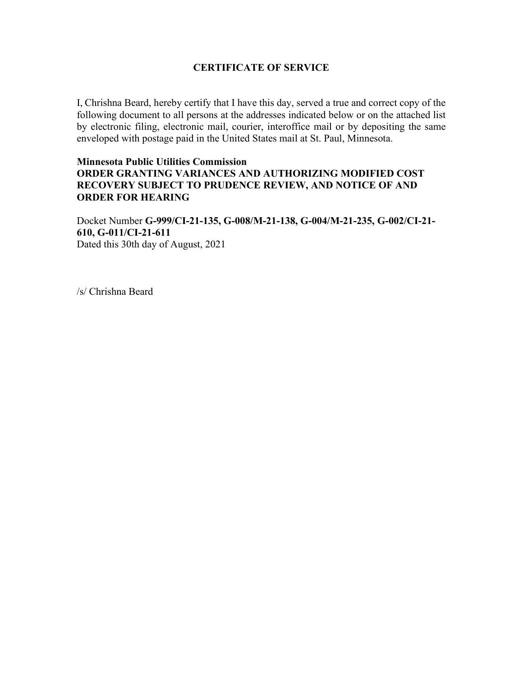### **CERTIFICATE OF SERVICE**

I, Chrishna Beard, hereby certify that I have this day, served a true and correct copy of the following document to all persons at the addresses indicated below or on the attached list by electronic filing, electronic mail, courier, interoffice mail or by depositing the same enveloped with postage paid in the United States mail at St. Paul, Minnesota.

### **Minnesota Public Utilities Commission ORDER GRANTING VARIANCES AND AUTHORIZING MODIFIED COST RECOVERY SUBJECT TO PRUDENCE REVIEW, AND NOTICE OF AND ORDER FOR HEARING**

Docket Number **G-999/CI-21-135, G-008/M-21-138, G-004/M-21-235, G-002/CI-21- 610, G-011/CI-21-611** Dated this 30th day of August, 2021

/s/ Chrishna Beard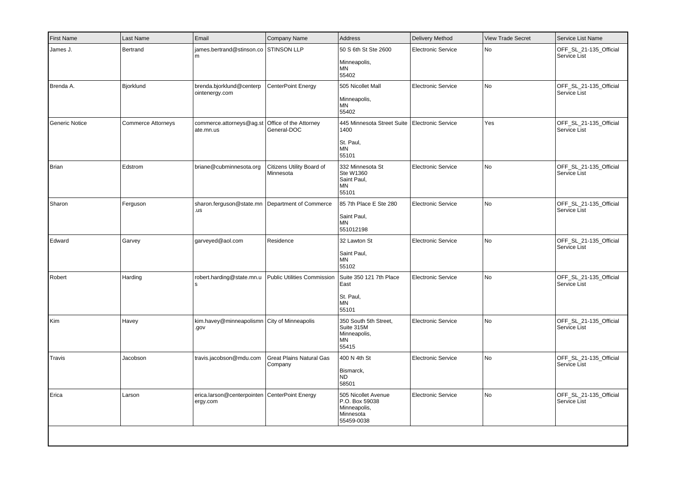| First Name            | Last Name                 | Email                                                       | Company Name                               | <b>Address</b>                                                                   | Delivery Method           | <b>View Trade Secret</b> | Service List Name                      |
|-----------------------|---------------------------|-------------------------------------------------------------|--------------------------------------------|----------------------------------------------------------------------------------|---------------------------|--------------------------|----------------------------------------|
| James J.              | Bertrand                  | james.bertrand@stinson.co<br>m                              | <b>STINSON LLP</b>                         | 50 S 6th St Ste 2600<br>Minneapolis,<br>ΜN<br>55402                              | <b>Electronic Service</b> | No                       | OFF_SL_21-135_Official<br>Service List |
| Brenda A.             | Bjorklund                 | brenda.bjorklund@centerp<br>ointenergy.com                  | <b>CenterPoint Energy</b>                  | 505 Nicollet Mall<br>Minneapolis,<br><b>MN</b><br>55402                          | <b>Electronic Service</b> | No                       | OFF_SL_21-135_Official<br>Service List |
| <b>Generic Notice</b> | <b>Commerce Attorneys</b> | commerce.attorneys@ag.st<br>ate.mn.us                       | Office of the Attorney<br>General-DOC      | 445 Minnesota Street Suite<br>1400<br>St. Paul,<br><b>MN</b><br>55101            | <b>Electronic Service</b> | Yes                      | OFF_SL_21-135_Official<br>Service List |
| Brian                 | Edstrom                   | briane@cubminnesota.org                                     | Citizens Utility Board of<br>Minnesota     | 332 Minnesota St<br>Ste W1360<br>Saint Paul,<br>ΜN<br>55101                      | Electronic Service        | No                       | OFF SL 21-135 Official<br>Service List |
| Sharon                | Ferguson                  | sharon.ferguson@state.mn<br>.us                             | Department of Commerce                     | 85 7th Place E Ste 280<br>Saint Paul,<br>MN<br>551012198                         | <b>Electronic Service</b> | No                       | OFF_SL_21-135_Official<br>Service List |
| Edward                | Garvey                    | garveyed@aol.com                                            | Residence                                  | 32 Lawton St<br>Saint Paul,<br><b>MN</b><br>55102                                | <b>Electronic Service</b> | No                       | OFF_SL_21-135_Official<br>Service List |
| Robert                | Harding                   | robert.harding@state.mn.u<br>s                              | <b>Public Utilities Commission</b>         | Suite 350 121 7th Place<br>East<br>St. Paul,<br>MN<br>55101                      | <b>Electronic Service</b> | No                       | OFF_SL_21-135_Official<br>Service List |
| Kim                   | Havey                     | kim.havey@minneapolismn City of Minneapolis<br>.gov         |                                            | 350 South 5th Street,<br>Suite 315M<br>Minneapolis,<br><b>MN</b><br>55415        | <b>Electronic Service</b> | No                       | OFF_SL_21-135_Official<br>Service List |
| Travis                | Jacobson                  | travis.jacobson@mdu.com                                     | <b>Great Plains Natural Gas</b><br>Company | 400 N 4th St<br>Bismarck,<br>ND.<br>58501                                        | <b>Electronic Service</b> | No                       | OFF_SL_21-135_Official<br>Service List |
| Erica                 | Larson                    | erica.larson@centerpointen   CenterPoint Energy<br>ergy.com |                                            | 505 Nicollet Avenue<br>P.O. Box 59038<br>Minneapolis,<br>Minnesota<br>55459-0038 | <b>Electronic Service</b> | No                       | OFF_SL_21-135_Official<br>Service List |
|                       |                           |                                                             |                                            |                                                                                  |                           |                          |                                        |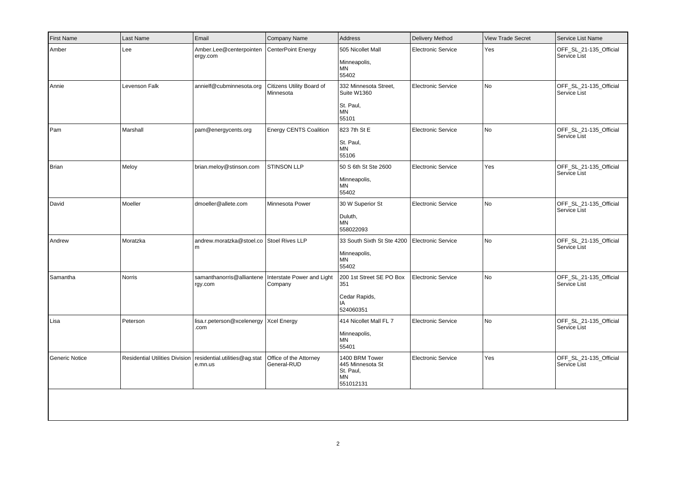| <b>First Name</b>     | Last Name     | Email                                                                     | Company Name                           | Address                                                                 | <b>Delivery Method</b>    | <b>View Trade Secret</b> | Service List Name                      |
|-----------------------|---------------|---------------------------------------------------------------------------|----------------------------------------|-------------------------------------------------------------------------|---------------------------|--------------------------|----------------------------------------|
| Amber                 | Lee           | Amber.Lee@centerpointen<br>ergy.com                                       | CenterPoint Energy                     | 505 Nicollet Mall<br>Minneapolis,<br>ΜN<br>55402                        | <b>Electronic Service</b> | Yes                      | OFF SL 21-135 Official<br>Service List |
| Annie                 | Levenson Falk | annielf@cubminnesota.org                                                  | Citizens Utility Board of<br>Minnesota | 332 Minnesota Street,<br>Suite W1360<br>St. Paul,<br><b>MN</b><br>55101 | <b>Electronic Service</b> | <b>No</b>                | OFF_SL_21-135_Official<br>Service List |
| Pam                   | Marshall      | pam@energycents.org                                                       | Energy CENTS Coalition                 | 823 7th St E<br>St. Paul,<br><b>MN</b><br>55106                         | <b>Electronic Service</b> | No                       | OFF_SL_21-135_Official<br>Service List |
| Brian                 | Meloy         | brian.meloy@stinson.com                                                   | STINSON LLP                            | 50 S 6th St Ste 2600<br>Minneapolis,<br><b>MN</b><br>55402              | <b>Electronic Service</b> | Yes                      | OFF_SL_21-135_Official<br>Service List |
| David                 | Moeller       | dmoeller@allete.com                                                       | Minnesota Power                        | 30 W Superior St<br>Duluth,<br>MN<br>558022093                          | Electronic Service        | No                       | OFF_SL_21-135_Official<br>Service List |
| Andrew                | Moratzka      | andrew.moratzka@stoel.co Stoel Rives LLP<br>l m                           |                                        | 33 South Sixth St Ste 4200<br>Minneapolis,<br>MN<br>55402               | Electronic Service        | <b>No</b>                | OFF_SL_21-135_Official<br>Service List |
| Samantha              | <b>Norris</b> | samanthanorris@alliantene   Interstate Power and Light<br>rgy.com         | Company                                | 200 1st Street SE PO Box<br>351<br>Cedar Rapids,<br>IA<br>524060351     | Electronic Service        | <b>No</b>                | OFF_SL_21-135_Official<br>Service List |
| Lisa                  | Peterson      | lisa.r.peterson@xcelenergy   Xcel Energy<br>.com                          |                                        | 414 Nicollet Mall FL 7<br>Minneapolis,<br>ΜN<br>55401                   | <b>Electronic Service</b> | No                       | OFF_SL_21-135_Official<br>Service List |
| <b>Generic Notice</b> |               | Residential Utilities Division   residential.utilities@ag.stat<br>e.mn.us | Office of the Attorney<br>General-RUD  | 1400 BRM Tower<br>445 Minnesota St<br>St. Paul,<br>MN<br>551012131      | <b>Electronic Service</b> | Yes                      | OFF_SL_21-135_Official<br>Service List |
|                       |               |                                                                           |                                        |                                                                         |                           |                          |                                        |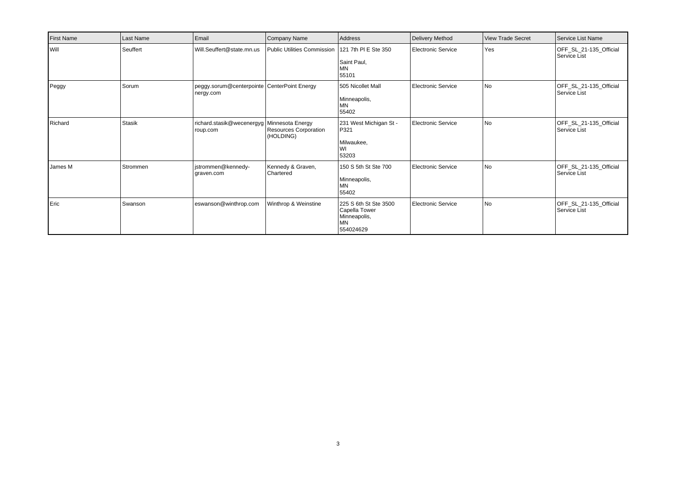| First Name    | Last Name     | Email                                                    | Company Name                       | Address                                                                          | Delivery Method    | <b>View Trade Secret</b> | Service List Name                      |
|---------------|---------------|----------------------------------------------------------|------------------------------------|----------------------------------------------------------------------------------|--------------------|--------------------------|----------------------------------------|
| <b>I</b> Will | Seuffert      | Will.Seuffert@state.mn.us                                | <b>Public Utilities Commission</b> | 121 7th PI E Ste 350<br>Saint Paul,<br><b>MN</b><br>55101                        | Electronic Service | Yes                      | OFF_SL_21-135_Official<br>Service List |
| Peggy         | Sorum         | peggy.sorum@centerpointe CenterPoint Energy<br>nergy.com |                                    | 505 Nicollet Mall<br>Minneapolis,<br>MN<br>55402                                 | Electronic Service | l No                     | OFF SL 21-135 Official<br>Service List |
| Richard       | <b>Stasik</b> | richard.stasik@wecenergyg   Minnesota Energy<br>roup.com | Resources Corporation<br>(HOLDING) | 231 West Michigan St -<br>P321<br>Milwaukee,<br>WI<br>53203                      | Electronic Service | No                       | OFF_SL_21-135_Official<br>Service List |
| James M       | Strommen      | jstrommen@kennedy-<br>graven.com                         | Kennedy & Graven,<br>Chartered     | 150 S 5th St Ste 700<br>Minneapolis,<br>MN<br>55402                              | Electronic Service | No                       | OFF SL 21-135 Official<br>Service List |
| Eric          | Swanson       | eswanson@winthrop.com                                    | Winthrop & Weinstine               | 225 S 6th St Ste 3500<br>Capella Tower<br>Minneapolis,<br><b>MN</b><br>554024629 | Electronic Service | No                       | OFF_SL_21-135_Official<br>Service List |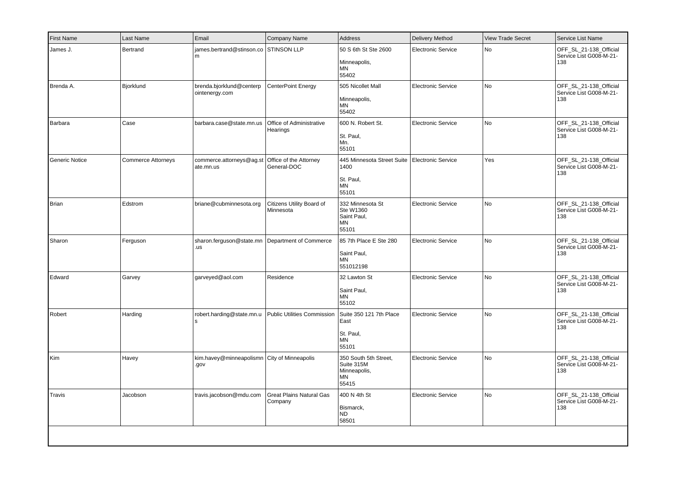| <b>First Name</b> | Last Name                 | Email                                                  | Company Name                               | <b>Address</b>                                                        | <b>Delivery Method</b>    | <b>View Trade Secret</b> | Service List Name                                        |
|-------------------|---------------------------|--------------------------------------------------------|--------------------------------------------|-----------------------------------------------------------------------|---------------------------|--------------------------|----------------------------------------------------------|
| James J.          | Bertrand                  | james.bertrand@stinson.co STINSON LLP<br>m             |                                            | 50 S 6th St Ste 2600<br>Minneapolis,<br>ΜN<br>55402                   | <b>Electronic Service</b> | No                       | OFF_SL_21-138_Official<br>Service List G008-M-21-<br>138 |
| Brenda A.         | Bjorklund                 | brenda.bjorklund@centerp<br>ointenergy.com             | CenterPoint Energy                         | 505 Nicollet Mall<br>Minneapolis,<br><b>MN</b><br>55402               | <b>Electronic Service</b> | No                       | OFF SL 21-138 Official<br>Service List G008-M-21-<br>138 |
| Barbara           | Case                      | barbara.case@state.mn.us                               | Office of Administrative<br>Hearings       | 600 N. Robert St.<br>St. Paul,<br>Mn.<br>55101                        | <b>Electronic Service</b> | No                       | OFF_SL_21-138_Official<br>Service List G008-M-21-<br>138 |
| Generic Notice    | <b>Commerce Attorneys</b> | commerce.attorneys@ag.st<br>ate.mn.us                  | Office of the Attorney<br>General-DOC      | 445 Minnesota Street Suite<br>1400<br>St. Paul,<br><b>MN</b><br>55101 | Electronic Service        | Yes                      | OFF_SL_21-138_Official<br>Service List G008-M-21-<br>138 |
| Brian             | Edstrom                   | briane@cubminnesota.org                                | Citizens Utility Board of<br>Minnesota     | 332 Minnesota St<br>Ste W1360<br>Saint Paul,<br>MN<br>55101           | <b>Electronic Service</b> | No                       | OFF_SL_21-138_Official<br>Service List G008-M-21-<br>138 |
| Sharon            | Ferguson                  | sharon.ferguson@state.mn Department of Commerce<br>.us |                                            | 85 7th Place E Ste 280<br>Saint Paul,<br>MN<br>551012198              | <b>Electronic Service</b> | No                       | OFF_SL_21-138_Official<br>Service List G008-M-21-<br>138 |
| Edward            | Garvey                    | garveyed@aol.com                                       | Residence                                  | 32 Lawton St<br>Saint Paul,<br><b>MN</b><br>55102                     | <b>Electronic Service</b> | No                       | OFF_SL_21-138_Official<br>Service List G008-M-21-<br>138 |
| Robert            | Harding                   | robert.harding@state.mn.u<br>١s                        | <b>Public Utilities Commission</b>         | Suite 350 121 7th Place<br>East<br>St. Paul,<br><b>MN</b><br>55101    | <b>Electronic Service</b> | No                       | OFF_SL_21-138_Official<br>Service List G008-M-21-<br>138 |
| Kim               | Havey                     | kim.havey@minneapolismn City of Minneapolis<br>.gov    |                                            | 350 South 5th Street,<br>Suite 315M<br>Minneapolis,<br>MN<br>55415    | <b>Electronic Service</b> | No                       | OFF SL 21-138 Official<br>Service List G008-M-21-<br>138 |
| Travis            | Jacobson                  | travis.jacobson@mdu.com                                | <b>Great Plains Natural Gas</b><br>Company | 400 N 4th St<br>Bismarck,<br>N <sub>D</sub><br>58501                  | <b>Electronic Service</b> | No                       | OFF_SL_21-138_Official<br>Service List G008-M-21-<br>138 |
|                   |                           |                                                        |                                            |                                                                       |                           |                          |                                                          |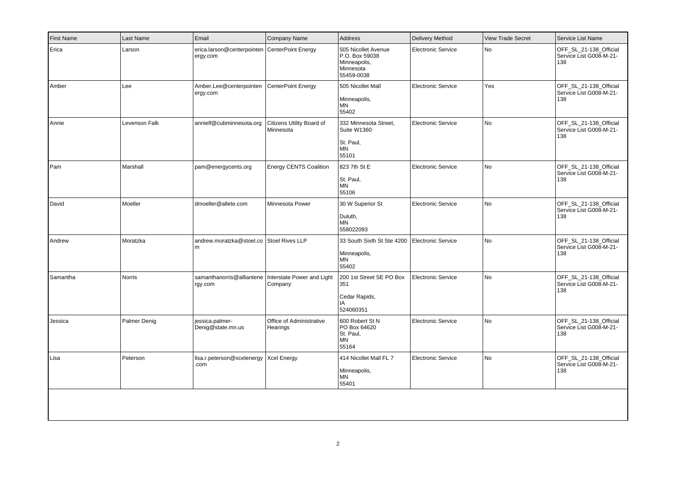| <b>First Name</b> | Last Name     | Email                                                     | Company Name                           | Address                                                                          | <b>Delivery Method</b>    | <b>View Trade Secret</b> | Service List Name                                        |
|-------------------|---------------|-----------------------------------------------------------|----------------------------------------|----------------------------------------------------------------------------------|---------------------------|--------------------------|----------------------------------------------------------|
| Erica             | Larson        | erica.larson@centerpointen CenterPoint Energy<br>ergy.com |                                        | 505 Nicollet Avenue<br>P.O. Box 59038<br>Minneapolis,<br>Minnesota<br>55459-0038 | <b>Electronic Service</b> | No                       | OFF_SL_21-138_Official<br>Service List G008-M-21-<br>138 |
| Amber             | Lee           | Amber.Lee@centerpointen<br>ergy.com                       | CenterPoint Energy                     | 505 Nicollet Mall<br>Minneapolis,<br>ΜN<br>55402                                 | <b>Electronic Service</b> | Yes                      | OFF_SL_21-138_Official<br>Service List G008-M-21-<br>138 |
| Annie             | Levenson Falk | annielf@cubminnesota.org                                  | Citizens Utility Board of<br>Minnesota | 332 Minnesota Street,<br>Suite W1360<br>St. Paul,<br><b>MN</b><br>55101          | <b>Electronic Service</b> | No                       | OFF SL 21-138 Official<br>Service List G008-M-21-<br>138 |
| Pam               | Marshall      | pam@energycents.org                                       | <b>Energy CENTS Coalition</b>          | 823 7th St E<br>St. Paul,<br><b>MN</b><br>55106                                  | <b>Electronic Service</b> | No                       | OFF_SL_21-138_Official<br>Service List G008-M-21-<br>138 |
| David             | Moeller       | dmoeller@allete.com                                       | Minnesota Power                        | 30 W Superior St<br>Duluth,<br><b>MN</b><br>558022093                            | <b>Electronic Service</b> | No                       | OFF_SL_21-138_Official<br>Service List G008-M-21-<br>138 |
| Andrew            | Moratzka      | andrew.moratzka@stoel.co Stoel Rives LLP<br>l m           |                                        | 33 South Sixth St Ste 4200<br>Minneapolis,<br>MN<br>55402                        | Electronic Service        | No                       | OFF SL 21-138 Official<br>Service List G008-M-21-<br>138 |
| Samantha          | <b>Norris</b> | samanthanorris@alliantene<br>rgy.com                      | Interstate Power and Light<br>Company  | 200 1st Street SE PO Box<br>351<br>Cedar Rapids,<br>IA<br>524060351              | <b>Electronic Service</b> | No                       | OFF_SL_21-138_Official<br>Service List G008-M-21-<br>138 |
| Jessica           | Palmer Denig  | jessica.palmer-<br>Denig@state.mn.us                      | Office of Administrative<br>Hearings   | 600 Robert St N<br>PO Box 64620<br>St. Paul,<br>ΜN<br>55164                      | <b>Electronic Service</b> | No                       | OFF_SL_21-138_Official<br>Service List G008-M-21-<br>138 |
| Lisa              | Peterson      | lisa.r.peterson@xcelenergy<br>.com                        | <b>Xcel Energy</b>                     | 414 Nicollet Mall FL 7<br>Minneapolis,<br><b>MN</b><br>55401                     | <b>Electronic Service</b> | No                       | OFF_SL_21-138_Official<br>Service List G008-M-21-<br>138 |
|                   |               |                                                           |                                        |                                                                                  |                           |                          |                                                          |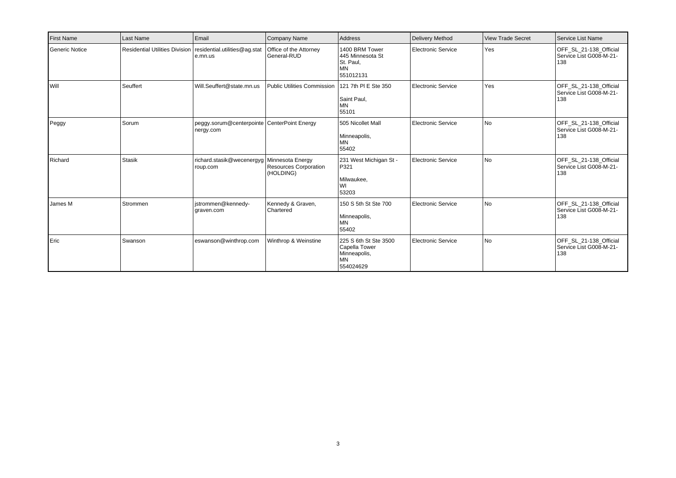| <b>First Name</b> | Last Name     | Email                                                                     | Company Name                                                  | Address                                                                          | Delivery Method    | <b>View Trade Secret</b> | Service List Name                                        |
|-------------------|---------------|---------------------------------------------------------------------------|---------------------------------------------------------------|----------------------------------------------------------------------------------|--------------------|--------------------------|----------------------------------------------------------|
| Generic Notice    |               | Residential Utilities Division   residential.utilities@ag.stat<br>e.mn.us | Office of the Attorney<br>General-RUD                         | 1400 BRM Tower<br>445 Minnesota St<br>St. Paul,<br><b>MN</b><br>551012131        | Electronic Service | Yes                      | OFF SL 21-138 Official<br>Service List G008-M-21-<br>138 |
| l will            | Seuffert      | Will.Seuffert@state.mn.us                                                 | <b>Public Utilities Commission</b>                            | 121 7th PI E Ste 350<br>Saint Paul,<br>MN<br>55101                               | Electronic Service | Yes                      | OFF SL 21-138 Official<br>Service List G008-M-21-<br>138 |
| Peggy             | Sorum         | peggy.sorum@centerpointe CenterPoint Energy<br>nergy.com                  |                                                               | 505 Nicollet Mall<br>Minneapolis,<br><b>MN</b><br>55402                          | Electronic Service | l No                     | OFF SL 21-138 Official<br>Service List G008-M-21-<br>138 |
| Richard           | <b>Stasik</b> | richard.stasik@wecenergyg<br>roup.com                                     | Minnesota Energy<br><b>Resources Corporation</b><br>(HOLDING) | 231 West Michigan St -<br>P321<br>Milwaukee,<br>WI<br>53203                      | Electronic Service | l No                     | OFF SL 21-138 Official<br>Service List G008-M-21-<br>138 |
| James M           | Strommen      | istrommen@kennedy-<br>graven.com                                          | Kennedy & Graven,<br>Chartered                                | 150 S 5th St Ste 700<br>Minneapolis,<br><b>MN</b><br>55402                       | Electronic Service | l No                     | OFF SL 21-138 Official<br>Service List G008-M-21-<br>138 |
| Eric              | Swanson       | eswanson@winthrop.com                                                     | Winthrop & Weinstine                                          | 225 S 6th St Ste 3500<br>Capella Tower<br>Minneapolis,<br><b>MN</b><br>554024629 | Electronic Service | l No                     | OFF SL 21-138 Official<br>Service List G008-M-21-<br>138 |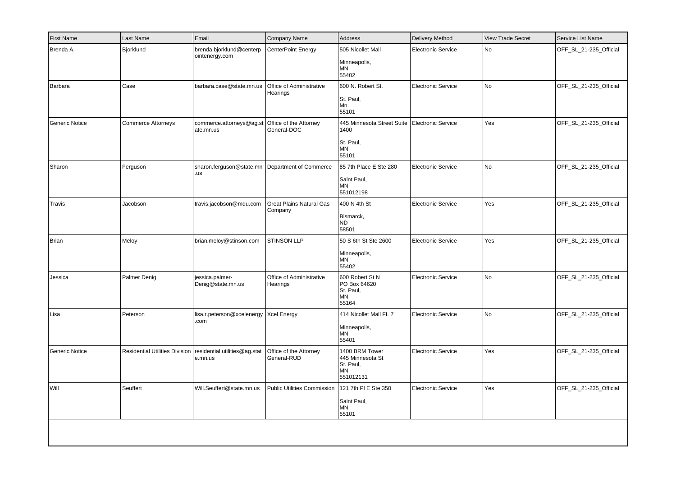| <b>First Name</b> | Last Name                 | Email                                                                     | Company Name                               | <b>Address</b>                                                            | <b>Delivery Method</b>    | <b>View Trade Secret</b> | Service List Name      |
|-------------------|---------------------------|---------------------------------------------------------------------------|--------------------------------------------|---------------------------------------------------------------------------|---------------------------|--------------------------|------------------------|
| Brenda A.         | Bjorklund                 | brenda.bjorklund@centerp<br>ointenergy.com                                | CenterPoint Energy                         | 505 Nicollet Mall<br>Minneapolis,<br><b>MN</b><br>55402                   | <b>Electronic Service</b> | No                       | OFF_SL_21-235_Official |
| Barbara           | Case                      | barbara.case@state.mn.us                                                  | Office of Administrative<br>Hearings       | 600 N. Robert St.<br>St. Paul,<br>Mn.<br>55101                            | <b>Electronic Service</b> | No                       | OFF_SL_21-235_Official |
| Generic Notice    | <b>Commerce Attorneys</b> | commerce.attorneys@ag.st<br>ate.mn.us                                     | Office of the Attorney<br>General-DOC      | 445 Minnesota Street Suite<br>1400<br>St. Paul,<br><b>MN</b><br>55101     | Electronic Service        | Yes                      | OFF_SL_21-235_Official |
| Sharon            | Ferguson                  | sharon.ferguson@state.mn Department of Commerce<br>.us                    |                                            | 85 7th Place E Ste 280<br>Saint Paul,<br><b>MN</b><br>551012198           | <b>Electronic Service</b> | No                       | OFF_SL_21-235_Official |
| Travis            | Jacobson                  | travis.jacobson@mdu.com                                                   | <b>Great Plains Natural Gas</b><br>Company | 400 N 4th St<br>Bismarck,<br><b>ND</b><br>58501                           | <b>Electronic Service</b> | Yes                      | OFF_SL_21-235_Official |
| Brian             | Meloy                     | brian.meloy@stinson.com                                                   | STINSON LLP                                | 50 S 6th St Ste 2600<br>Minneapolis,<br>MN<br>55402                       | <b>Electronic Service</b> | Yes                      | OFF_SL_21-235_Official |
| Jessica           | Palmer Denig              | jessica.palmer-<br>Denig@state.mn.us                                      | Office of Administrative<br>Hearings       | 600 Robert St N<br>PO Box 64620<br>St. Paul,<br><b>MN</b><br>55164        | <b>Electronic Service</b> | No                       | OFF_SL_21-235_Official |
| Lisa              | Peterson                  | lisa.r.peterson@xcelenergy   Xcel Energy<br>.com                          |                                            | 414 Nicollet Mall FL 7<br>Minneapolis,<br>MN<br>55401                     | <b>Electronic Service</b> | No                       | OFF_SL_21-235_Official |
| Generic Notice    |                           | Residential Utilities Division   residential.utilities@ag.stat<br>e.mn.us | Office of the Attorney<br>General-RUD      | 1400 BRM Tower<br>445 Minnesota St<br>St. Paul,<br><b>MN</b><br>551012131 | <b>Electronic Service</b> | Yes                      | OFF_SL_21-235_Official |
| Will              | Seuffert                  | Will.Seuffert@state.mn.us                                                 | <b>Public Utilities Commission</b>         | 121 7th PI E Ste 350<br>Saint Paul,<br>MN<br>55101                        | <b>Electronic Service</b> | Yes                      | OFF_SL_21-235_Official |
|                   |                           |                                                                           |                                            |                                                                           |                           |                          |                        |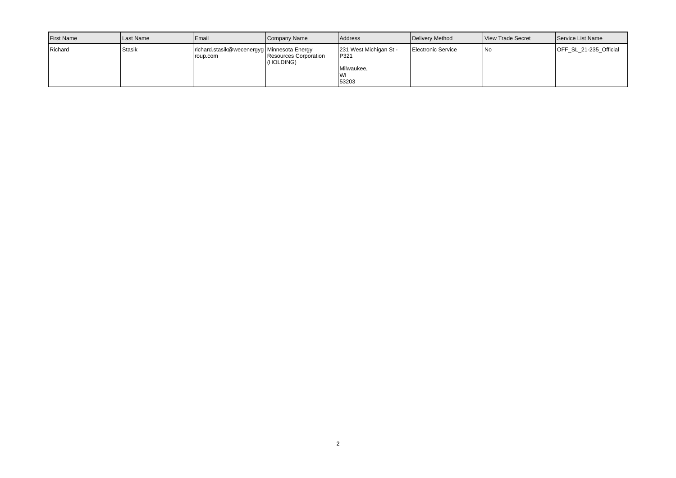| <b>I</b> First Name | Last Name | l Email                                                  | Company Name                       | <b>Address</b>                                              | Delivery Method           | View Trade Secret | Service List Name      |
|---------------------|-----------|----------------------------------------------------------|------------------------------------|-------------------------------------------------------------|---------------------------|-------------------|------------------------|
| Richard             | Stasik    | richard.stasik@wecenergyg   Minnesota Energy<br>roup.com | Resources Corporation<br>(HOLDING) | 231 West Michigan St -<br>P321<br>Milwaukee,<br>WI<br>53203 | <b>Electronic Service</b> | 1No               | OFF SL 21-235 Official |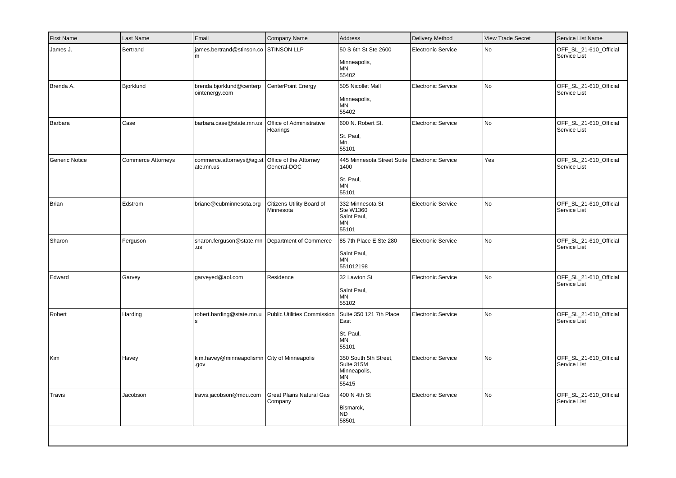| <b>First Name</b> | Last Name                 | Email                                                    | Company Name                               | <b>Address</b>                                                     | Delivery Method           | <b>View Trade Secret</b> | Service List Name                      |
|-------------------|---------------------------|----------------------------------------------------------|--------------------------------------------|--------------------------------------------------------------------|---------------------------|--------------------------|----------------------------------------|
| James J.          | Bertrand                  | james.bertrand@stinson.co<br>m                           | <b>STINSON LLP</b>                         | 50 S 6th St Ste 2600<br>Minneapolis,<br>MN<br>55402                | <b>Electronic Service</b> | No                       | OFF_SL_21-610_Official<br>Service List |
| Brenda A.         | Bjorklund                 | brenda.bjorklund@centerp<br>ointenergy.com               | CenterPoint Energy                         | 505 Nicollet Mall<br>Minneapolis,<br>ΜN<br>55402                   | Electronic Service        | No                       | OFF_SL_21-610_Official<br>Service List |
| Barbara           | Case                      | barbara.case@state.mn.us                                 | Office of Administrative<br>Hearings       | 600 N. Robert St.<br>St. Paul,<br>Mn.<br>55101                     | <b>Electronic Service</b> | No                       | OFF_SL_21-610_Official<br>Service List |
| Generic Notice    | <b>Commerce Attorneys</b> | commerce.attorneys@ag.st<br>ate.mn.us                    | Office of the Attorney<br>General-DOC      | 445 Minnesota Street Suite<br>1400<br>St. Paul,<br>MN<br>55101     | Electronic Service        | Yes                      | OFF_SL_21-610_Official<br>Service List |
| Brian             | Edstrom                   | briane@cubminnesota.org                                  | Citizens Utility Board of<br>Minnesota     | 332 Minnesota St<br>Ste W1360<br>Saint Paul,<br><b>MN</b><br>55101 | <b>Electronic Service</b> | No                       | OFF_SL_21-610_Official<br>Service List |
| Sharon            | Ferguson                  | sharon.ferguson@state.mn   Department of Commerce<br>.us |                                            | 85 7th Place E Ste 280<br>Saint Paul,<br>ΜN<br>551012198           | <b>Electronic Service</b> | No                       | OFF_SL_21-610_Official<br>Service List |
| Edward            | Garvey                    | garveyed@aol.com                                         | Residence                                  | 32 Lawton St<br>Saint Paul,<br><b>MN</b><br>55102                  | <b>Electronic Service</b> | No                       | OFF_SL_21-610_Official<br>Service List |
| Robert            | Harding                   | robert.harding@state.mn.u<br>s                           | <b>Public Utilities Commission</b>         | Suite 350 121 7th Place<br>East<br>St. Paul,<br><b>MN</b><br>55101 | Electronic Service        | No                       | OFF_SL_21-610_Official<br>Service List |
| Kim               | Havey                     | kim.havey@minneapolismn City of Minneapolis<br>.gov      |                                            | 350 South 5th Street,<br>Suite 315M<br>Minneapolis,<br>ΜN<br>55415 | <b>Electronic Service</b> | No                       | OFF_SL_21-610_Official<br>Service List |
| Travis            | Jacobson                  | travis.jacobson@mdu.com                                  | <b>Great Plains Natural Gas</b><br>Company | 400 N 4th St<br>Bismarck,<br><b>ND</b><br>58501                    | <b>Electronic Service</b> | No                       | OFF_SL_21-610_Official<br>Service List |
|                   |                           |                                                          |                                            |                                                                    |                           |                          |                                        |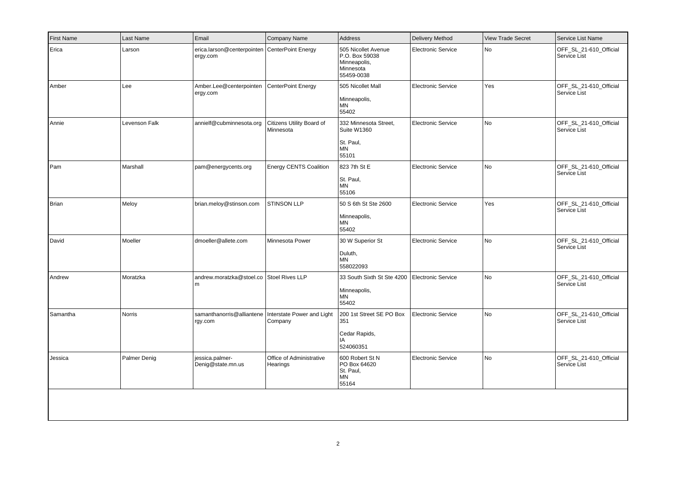| <b>First Name</b> | Last Name     | Email                                                             | Company Name                           | <b>Address</b>                                                                   | <b>Delivery Method</b>    | <b>View Trade Secret</b> | Service List Name                      |
|-------------------|---------------|-------------------------------------------------------------------|----------------------------------------|----------------------------------------------------------------------------------|---------------------------|--------------------------|----------------------------------------|
| Erica             | Larson        | erica.larson@centerpointen   CenterPoint Energy<br>ergy.com       |                                        | 505 Nicollet Avenue<br>P.O. Box 59038<br>Minneapolis,<br>Minnesota<br>55459-0038 | <b>Electronic Service</b> | No                       | OFF_SL_21-610_Official<br>Service List |
| Amber             | Lee           | Amber.Lee@centerpointen<br>ergy.com                               | CenterPoint Energy                     | 505 Nicollet Mall<br>Minneapolis,<br>ΜN<br>55402                                 | <b>Electronic Service</b> | Yes                      | OFF SL 21-610 Official<br>Service List |
| Annie             | Levenson Falk | annielf@cubminnesota.org                                          | Citizens Utility Board of<br>Minnesota | 332 Minnesota Street,<br>Suite W1360<br>St. Paul,<br><b>MN</b><br>55101          | Electronic Service        | No                       | OFF_SL_21-610_Official<br>Service List |
| Pam               | Marshall      | pam@energycents.org                                               | <b>Energy CENTS Coalition</b>          | 823 7th St E<br>St. Paul,<br><b>MN</b><br>55106                                  | <b>Electronic Service</b> | No                       | OFF_SL_21-610_Official<br>Service List |
| Brian             | Meloy         | brian.meloy@stinson.com                                           | STINSON LLP                            | 50 S 6th St Ste 2600<br>Minneapolis,<br><b>MN</b><br>55402                       | <b>Electronic Service</b> | Yes                      | OFF_SL_21-610_Official<br>Service List |
| David             | Moeller       | dmoeller@allete.com                                               | Minnesota Power                        | 30 W Superior St<br>Duluth,<br>MN<br>558022093                                   | <b>Electronic Service</b> | <b>No</b>                | OFF_SL_21-610_Official<br>Service List |
| Andrew            | Moratzka      | andrew.moratzka@stoel.co Stoel Rives LLP<br>l m                   |                                        | 33 South Sixth St Ste 4200<br>Minneapolis,<br>MN<br>55402                        | Electronic Service        | <b>No</b>                | OFF_SL_21-610_Official<br>Service List |
| Samantha          | Norris        | samanthanorris@alliantene   Interstate Power and Light<br>rgy.com | Company                                | 200 1st Street SE PO Box<br>351<br>Cedar Rapids,<br>IA<br>524060351              | <b>Electronic Service</b> | No                       | OFF_SL_21-610_Official<br>Service List |
| Jessica           | Palmer Denig  | jessica.palmer-<br>Denig@state.mn.us                              | Office of Administrative<br>Hearings   | 600 Robert St N<br>PO Box 64620<br>St. Paul,<br>MN<br>55164                      | <b>Electronic Service</b> | No                       | OFF_SL_21-610_Official<br>Service List |
|                   |               |                                                                   |                                        |                                                                                  |                           |                          |                                        |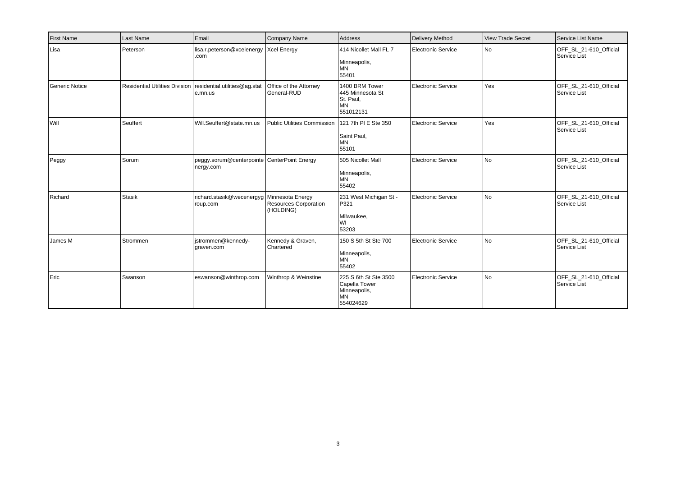| <b>First Name</b> | Last Name     | Email                                                                     | Company Name                              | Address                                                                          | Delivery Method           | <b>View Trade Secret</b> | Service List Name                      |
|-------------------|---------------|---------------------------------------------------------------------------|-------------------------------------------|----------------------------------------------------------------------------------|---------------------------|--------------------------|----------------------------------------|
| Lisa              | Peterson      | lisa.r.peterson@xcelenergy   Xcel Energy<br>.com                          |                                           | 414 Nicollet Mall FL 7<br>Minneapolis,<br><b>MN</b><br>55401                     | <b>Electronic Service</b> | No                       | OFF_SL_21-610_Official<br>Service List |
| Generic Notice    |               | Residential Utilities Division   residential.utilities@ag.stat<br>e.mn.us | Office of the Attorney<br>General-RUD     | 1400 BRM Tower<br>445 Minnesota St<br>St. Paul,<br><b>MN</b><br>551012131        | Electronic Service        | Yes                      | OFF_SL_21-610_Official<br>Service List |
| l will            | Seuffert      | Will.Seuffert@state.mn.us                                                 | Public Utilities Commission               | 121 7th PI E Ste 350<br>Saint Paul,<br><b>MN</b><br>55101                        | Electronic Service        | Yes                      | OFF_SL_21-610_Official<br>Service List |
| Peggy             | Sorum         | peggy.sorum@centerpointe CenterPoint Energy<br>nergy.com                  |                                           | 505 Nicollet Mall<br>Minneapolis,<br><b>MN</b><br>55402                          | Electronic Service        | No.                      | OFF_SL_21-610_Official<br>Service List |
| Richard           | <b>Stasik</b> | richard.stasik@wecenergyg Minnesota Energy<br>roup.com                    | <b>Resources Corporation</b><br>(HOLDING) | 231 West Michigan St -<br>P321<br>Milwaukee,<br>WI<br>53203                      | <b>Electronic Service</b> | N <sub>o</sub>           | OFF SL 21-610 Official<br>Service List |
| James M           | Strommen      | istrommen@kennedy-<br>graven.com                                          | Kennedy & Graven,<br>Chartered            | 150 S 5th St Ste 700<br>Minneapolis,<br><b>MN</b><br>55402                       | Electronic Service        | N <sub>o</sub>           | OFF SL 21-610 Official<br>Service List |
| Eric              | Swanson       | eswanson@winthrop.com                                                     | Winthrop & Weinstine                      | 225 S 6th St Ste 3500<br>Capella Tower<br>Minneapolis,<br><b>MN</b><br>554024629 | <b>Electronic Service</b> | N <sub>o</sub>           | OFF_SL_21-610_Official<br>Service List |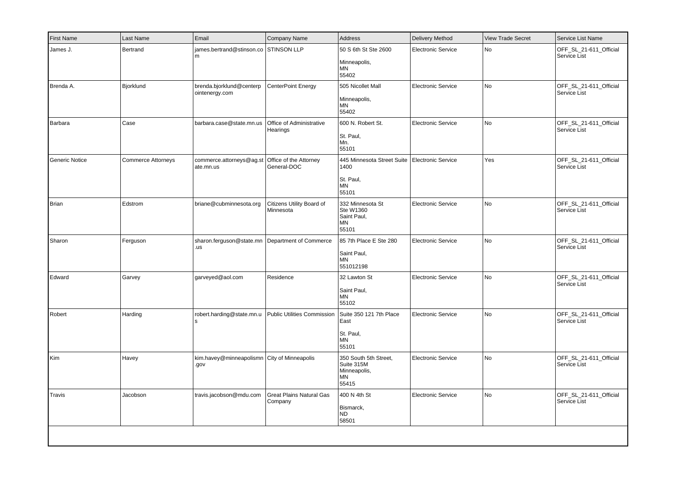| <b>First Name</b> | Last Name                 | Email                                                    | Company Name                               | <b>Address</b>                                                     | Delivery Method           | <b>View Trade Secret</b> | Service List Name                      |
|-------------------|---------------------------|----------------------------------------------------------|--------------------------------------------|--------------------------------------------------------------------|---------------------------|--------------------------|----------------------------------------|
| James J.          | Bertrand                  | james.bertrand@stinson.co<br>m                           | <b>STINSON LLP</b>                         | 50 S 6th St Ste 2600<br>Minneapolis,<br>MN<br>55402                | <b>Electronic Service</b> | No                       | OFF_SL_21-611_Official<br>Service List |
| Brenda A.         | Bjorklund                 | brenda.bjorklund@centerp<br>ointenergy.com               | CenterPoint Energy                         | 505 Nicollet Mall<br>Minneapolis,<br>ΜN<br>55402                   | Electronic Service        | No                       | OFF_SL_21-611_Official<br>Service List |
| Barbara           | Case                      | barbara.case@state.mn.us                                 | Office of Administrative<br>Hearings       | 600 N. Robert St.<br>St. Paul,<br>Mn.<br>55101                     | <b>Electronic Service</b> | No                       | OFF_SL_21-611_Official<br>Service List |
| Generic Notice    | <b>Commerce Attorneys</b> | commerce.attorneys@ag.st<br>ate.mn.us                    | Office of the Attorney<br>General-DOC      | 445 Minnesota Street Suite<br>1400<br>St. Paul,<br>MN<br>55101     | Electronic Service        | Yes                      | OFF_SL_21-611_Official<br>Service List |
| Brian             | Edstrom                   | briane@cubminnesota.org                                  | Citizens Utility Board of<br>Minnesota     | 332 Minnesota St<br>Ste W1360<br>Saint Paul,<br><b>MN</b><br>55101 | <b>Electronic Service</b> | No                       | OFF_SL_21-611_Official<br>Service List |
| Sharon            | Ferguson                  | sharon.ferguson@state.mn   Department of Commerce<br>.us |                                            | 85 7th Place E Ste 280<br>Saint Paul,<br>ΜN<br>551012198           | <b>Electronic Service</b> | No                       | OFF_SL_21-611_Official<br>Service List |
| Edward            | Garvey                    | garveyed@aol.com                                         | Residence                                  | 32 Lawton St<br>Saint Paul,<br><b>MN</b><br>55102                  | <b>Electronic Service</b> | No                       | OFF_SL_21-611_Official<br>Service List |
| Robert            | Harding                   | robert.harding@state.mn.u<br>s                           | <b>Public Utilities Commission</b>         | Suite 350 121 7th Place<br>East<br>St. Paul,<br><b>MN</b><br>55101 | Electronic Service        | No                       | OFF_SL_21-611_Official<br>Service List |
| Kim               | Havey                     | kim.havey@minneapolismn City of Minneapolis<br>.gov      |                                            | 350 South 5th Street,<br>Suite 315M<br>Minneapolis,<br>ΜN<br>55415 | <b>Electronic Service</b> | No                       | OFF_SL_21-611_Official<br>Service List |
| Travis            | Jacobson                  | travis.jacobson@mdu.com                                  | <b>Great Plains Natural Gas</b><br>Company | 400 N 4th St<br>Bismarck,<br><b>ND</b><br>58501                    | <b>Electronic Service</b> | No                       | OFF_SL_21-611_Official<br>Service List |
|                   |                           |                                                          |                                            |                                                                    |                           |                          |                                        |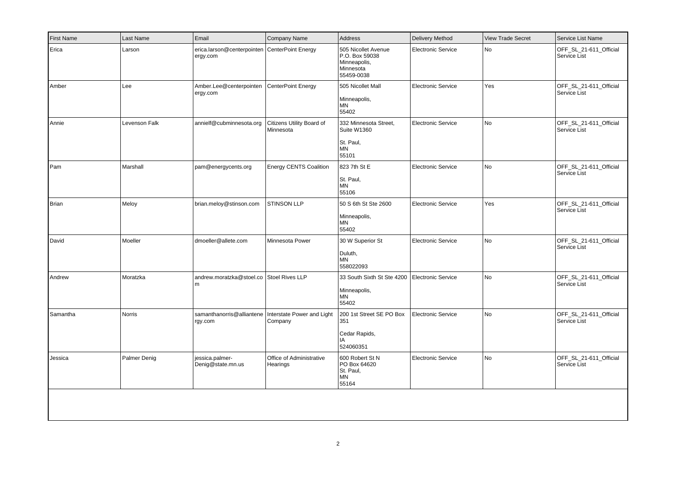| <b>First Name</b> | Last Name     | Email                                                             | Company Name                           | Address                                                                          | <b>Delivery Method</b>    | <b>View Trade Secret</b> | Service List Name                      |
|-------------------|---------------|-------------------------------------------------------------------|----------------------------------------|----------------------------------------------------------------------------------|---------------------------|--------------------------|----------------------------------------|
| Erica             | Larson        | erica.larson@centerpointen CenterPoint Energy<br>ergy.com         |                                        | 505 Nicollet Avenue<br>P.O. Box 59038<br>Minneapolis,<br>Minnesota<br>55459-0038 | <b>Electronic Service</b> | No                       | OFF SL 21-611 Official<br>Service List |
| Amber             | Lee           | Amber.Lee@centerpointen<br>ergy.com                               | CenterPoint Energy                     | 505 Nicollet Mall<br>Minneapolis,<br>MN<br>55402                                 | <b>Electronic Service</b> | Yes                      | OFF_SL_21-611_Official<br>Service List |
| Annie             | Levenson Falk | annielf@cubminnesota.org                                          | Citizens Utility Board of<br>Minnesota | 332 Minnesota Street,<br>Suite W1360<br>St. Paul,<br>MN<br>55101                 | <b>Electronic Service</b> | No                       | OFF_SL_21-611_Official<br>Service List |
| Pam               | Marshall      | pam@energycents.org                                               | Energy CENTS Coalition                 | 823 7th St E<br>St. Paul,<br>MN<br>55106                                         | <b>Electronic Service</b> | No                       | OFF_SL_21-611_Official<br>Service List |
| Brian             | Meloy         | brian.meloy@stinson.com                                           | <b>STINSON LLP</b>                     | 50 S 6th St Ste 2600<br>Minneapolis,<br><b>MN</b><br>55402                       | <b>Electronic Service</b> | Yes                      | OFF_SL_21-611_Official<br>Service List |
| David             | Moeller       | dmoeller@allete.com                                               | Minnesota Power                        | 30 W Superior St<br>Duluth,<br>ΜN<br>558022093                                   | <b>Electronic Service</b> | No                       | OFF_SL_21-611_Official<br>Service List |
| Andrew            | Moratzka      | andrew.moratzka@stoel.co Stoel Rives LLP<br>l m                   |                                        | 33 South Sixth St Ste 4200<br>Minneapolis,<br><b>MN</b><br>55402                 | <b>Electronic Service</b> | No                       | OFF_SL_21-611_Official<br>Service List |
| Samantha          | Norris        | samanthanorris@alliantene   Interstate Power and Light<br>rgy.com | Company                                | 200 1st Street SE PO Box<br>351<br>Cedar Rapids,<br>IA<br>524060351              | <b>Electronic Service</b> | No                       | OFF_SL_21-611_Official<br>Service List |
| Jessica           | Palmer Denig  | iessica.palmer-<br>Denig@state.mn.us                              | Office of Administrative<br>Hearings   | 600 Robert St N<br>PO Box 64620<br>St. Paul,<br>ΜN<br>55164                      | <b>Electronic Service</b> | No                       | OFF_SL_21-611_Official<br>Service List |
|                   |               |                                                                   |                                        |                                                                                  |                           |                          |                                        |